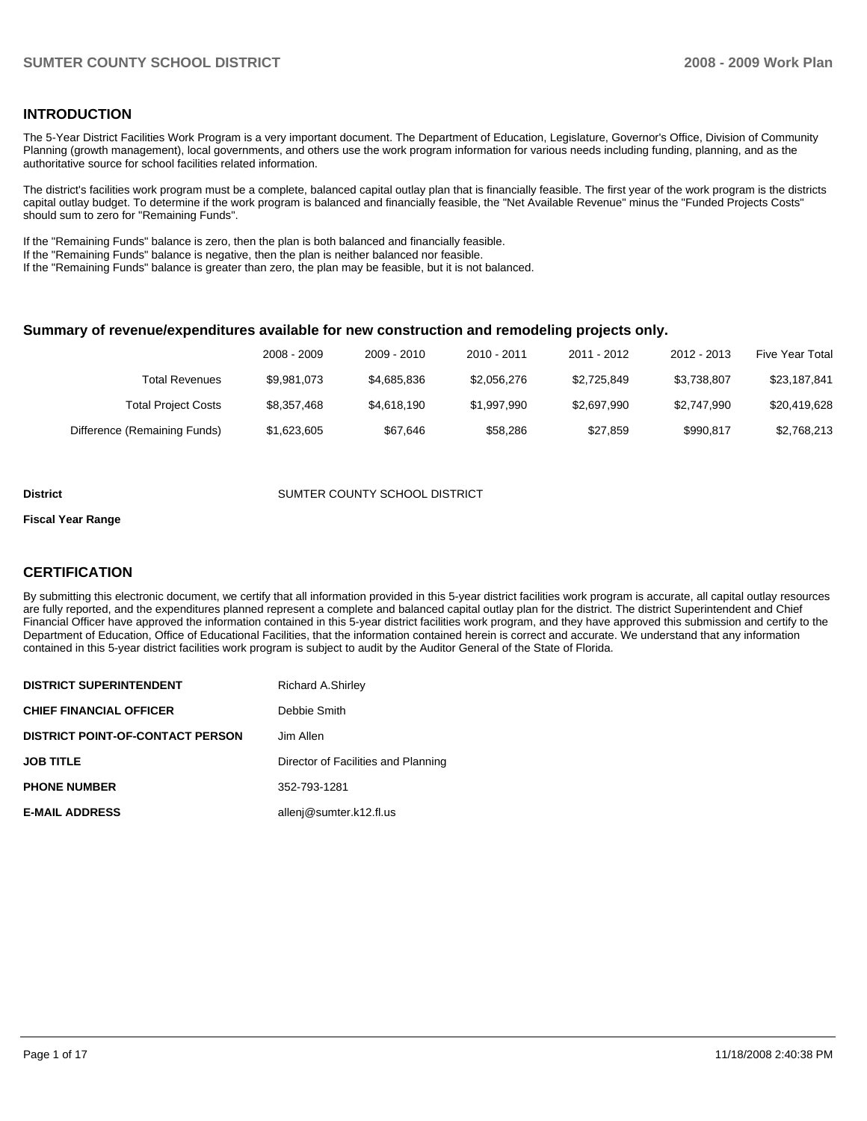### **INTRODUCTION**

The 5-Year District Facilities Work Program is a very important document. The Department of Education, Legislature, Governor's Office, Division of Community Planning (growth management), local governments, and others use the work program information for various needs including funding, planning, and as the authoritative source for school facilities related information.

The district's facilities work program must be a complete, balanced capital outlay plan that is financially feasible. The first year of the work program is the districts capital outlay budget. To determine if the work program is balanced and financially feasible, the "Net Available Revenue" minus the "Funded Projects Costs" should sum to zero for "Remaining Funds".

If the "Remaining Funds" balance is zero, then the plan is both balanced and financially feasible.

If the "Remaining Funds" balance is negative, then the plan is neither balanced nor feasible.

If the "Remaining Funds" balance is greater than zero, the plan may be feasible, but it is not balanced.

#### **Summary of revenue/expenditures available for new construction and remodeling projects only.**

|                              | 2008 - 2009 | 2009 - 2010 | 2010 - 2011 | 2011 - 2012 | 2012 - 2013 | Five Year Total |
|------------------------------|-------------|-------------|-------------|-------------|-------------|-----------------|
| Total Revenues               | \$9.981.073 | \$4,685,836 | \$2,056,276 | \$2.725.849 | \$3.738.807 | \$23,187,841    |
| <b>Total Project Costs</b>   | \$8,357,468 | \$4,618,190 | \$1,997,990 | \$2,697,990 | \$2,747.990 | \$20,419,628    |
| Difference (Remaining Funds) | \$1,623,605 | \$67.646    | \$58.286    | \$27.859    | \$990.817   | \$2,768,213     |

#### **District COUNTY SCHOOL DISTRICT SUMTER COUNTY SCHOOL DISTRICT**

#### **Fiscal Year Range**

### **CERTIFICATION**

By submitting this electronic document, we certify that all information provided in this 5-year district facilities work program is accurate, all capital outlay resources are fully reported, and the expenditures planned represent a complete and balanced capital outlay plan for the district. The district Superintendent and Chief Financial Officer have approved the information contained in this 5-year district facilities work program, and they have approved this submission and certify to the Department of Education, Office of Educational Facilities, that the information contained herein is correct and accurate. We understand that any information contained in this 5-year district facilities work program is subject to audit by the Auditor General of the State of Florida.

| <b>DISTRICT SUPERINTENDENT</b>          | <b>Richard A.Shirley</b>            |
|-----------------------------------------|-------------------------------------|
| <b>CHIEF FINANCIAL OFFICER</b>          | Debbie Smith                        |
| <b>DISTRICT POINT-OF-CONTACT PERSON</b> | Jim Allen                           |
| <b>JOB TITLE</b>                        | Director of Facilities and Planning |
| <b>PHONE NUMBER</b>                     | 352-793-1281                        |
| <b>E-MAIL ADDRESS</b>                   | allenj@sumter.k12.fl.us             |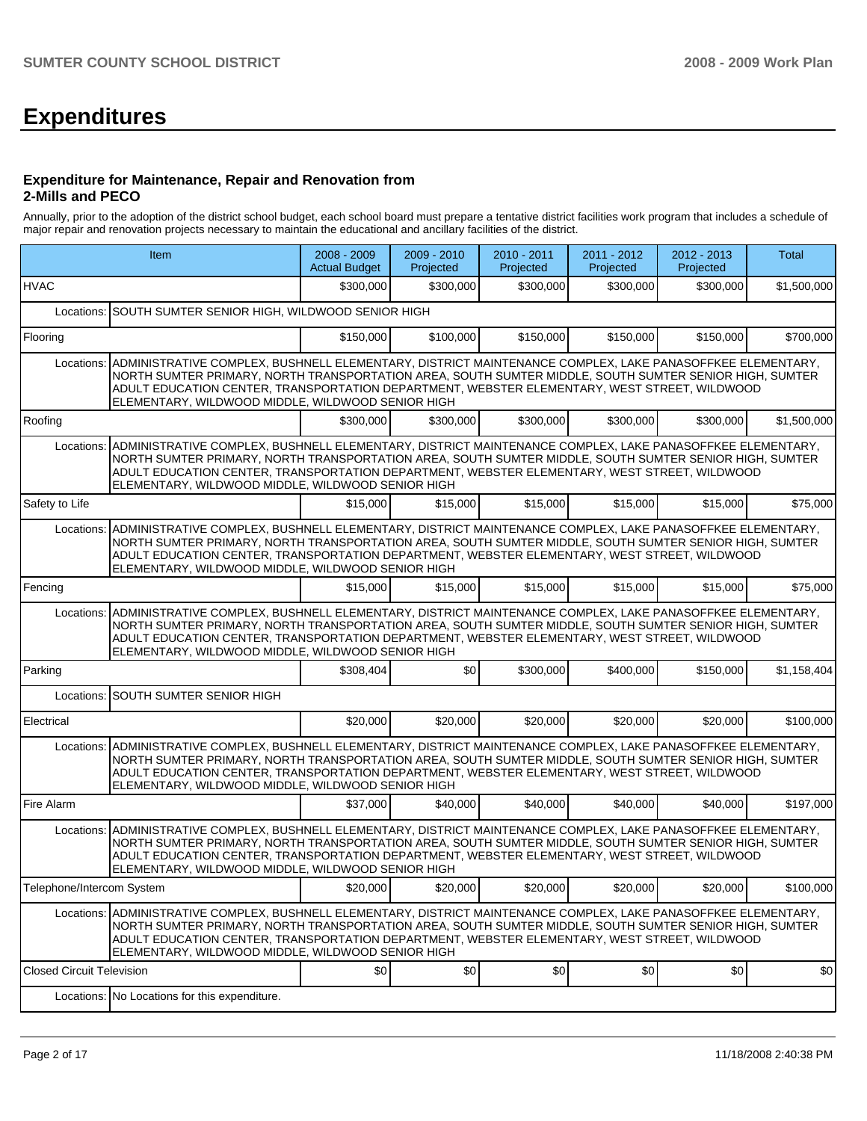# **Expenditures**

#### **Expenditure for Maintenance, Repair and Renovation from 2-Mills and PECO**

Annually, prior to the adoption of the district school budget, each school board must prepare a tentative district facilities work program that includes a schedule of major repair and renovation projects necessary to maintain the educational and ancillary facilities of the district.

|                                  | Item                                                                                                                                                                                                                                                                                                                                                                                | 2008 - 2009<br><b>Actual Budget</b> | 2009 - 2010<br>Projected | 2010 - 2011<br>Projected | 2011 - 2012<br>Projected | 2012 - 2013<br>Projected | Total       |  |  |  |
|----------------------------------|-------------------------------------------------------------------------------------------------------------------------------------------------------------------------------------------------------------------------------------------------------------------------------------------------------------------------------------------------------------------------------------|-------------------------------------|--------------------------|--------------------------|--------------------------|--------------------------|-------------|--|--|--|
| <b>HVAC</b>                      |                                                                                                                                                                                                                                                                                                                                                                                     | \$300,000                           | \$300,000                | \$300,000                | \$300,000                | \$300,000                | \$1,500,000 |  |  |  |
| Locations:                       | SOUTH SUMTER SENIOR HIGH, WILDWOOD SENIOR HIGH                                                                                                                                                                                                                                                                                                                                      |                                     |                          |                          |                          |                          |             |  |  |  |
| Flooring                         |                                                                                                                                                                                                                                                                                                                                                                                     | \$150,000                           | \$100,000                | \$150,000                | \$150,000                | \$150,000                | \$700,000   |  |  |  |
|                                  | Locations: ADMINISTRATIVE COMPLEX, BUSHNELL ELEMENTARY, DISTRICT MAINTENANCE COMPLEX, LAKE PANASOFFKEE ELEMENTARY,<br>NORTH SUMTER PRIMARY, NORTH TRANSPORTATION AREA, SOUTH SUMTER MIDDLE, SOUTH SUMTER SENIOR HIGH, SUMTER<br>ADULT EDUCATION CENTER, TRANSPORTATION DEPARTMENT, WEBSTER ELEMENTARY, WEST STREET, WILDWOOD<br>ELEMENTARY, WILDWOOD MIDDLE, WILDWOOD SENIOR HIGH   |                                     |                          |                          |                          |                          |             |  |  |  |
| Roofing                          |                                                                                                                                                                                                                                                                                                                                                                                     | \$300,000                           | \$300,000                | \$300.000                | \$300,000                | \$300,000                | \$1,500,000 |  |  |  |
|                                  | Locations:   ADMINISTRATIVE COMPLEX, BUSHNELL ELEMENTARY, DISTRICT MAINTENANCE COMPLEX, LAKE PANASOFFKEE ELEMENTARY,<br>NORTH SUMTER PRIMARY, NORTH TRANSPORTATION AREA, SOUTH SUMTER MIDDLE, SOUTH SUMTER SENIOR HIGH, SUMTER<br>ADULT EDUCATION CENTER, TRANSPORTATION DEPARTMENT, WEBSTER ELEMENTARY, WEST STREET, WILDWOOD<br>ELEMENTARY, WILDWOOD MIDDLE, WILDWOOD SENIOR HIGH |                                     |                          |                          |                          |                          |             |  |  |  |
| Safety to Life                   |                                                                                                                                                                                                                                                                                                                                                                                     | \$15,000                            | \$15,000                 | \$15,000                 | \$15,000                 | \$15,000                 | \$75,000    |  |  |  |
|                                  | Locations:   ADMINISTRATIVE COMPLEX, BUSHNELL ELEMENTARY, DISTRICT MAINTENANCE COMPLEX, LAKE PANASOFFKEE ELEMENTARY,<br>NORTH SUMTER PRIMARY, NORTH TRANSPORTATION AREA, SOUTH SUMTER MIDDLE, SOUTH SUMTER SENIOR HIGH, SUMTER<br>ADULT EDUCATION CENTER, TRANSPORTATION DEPARTMENT, WEBSTER ELEMENTARY, WEST STREET, WILDWOOD<br>ELEMENTARY, WILDWOOD MIDDLE, WILDWOOD SENIOR HIGH |                                     |                          |                          |                          |                          |             |  |  |  |
| Fencing                          |                                                                                                                                                                                                                                                                                                                                                                                     | \$15,000                            | \$15,000                 | \$15,000                 | \$15,000                 | \$15,000                 | \$75,000    |  |  |  |
| Locations:                       | ADMINISTRATIVE COMPLEX, BUSHNELL ELEMENTARY, DISTRICT MAINTENANCE COMPLEX, LAKE PANASOFFKEE ELEMENTARY,<br>NORTH SUMTER PRIMARY, NORTH TRANSPORTATION AREA, SOUTH SUMTER MIDDLE, SOUTH SUMTER SENIOR HIGH, SUMTER<br>ADULT EDUCATION CENTER, TRANSPORTATION DEPARTMENT, WEBSTER ELEMENTARY, WEST STREET, WILDWOOD<br>ELEMENTARY, WILDWOOD MIDDLE, WILDWOOD SENIOR HIGH              |                                     |                          |                          |                          |                          |             |  |  |  |
| Parking                          |                                                                                                                                                                                                                                                                                                                                                                                     | \$308,404                           | \$0                      | \$300,000                | \$400,000                | \$150,000                | \$1,158,404 |  |  |  |
|                                  | Locations: SOUTH SUMTER SENIOR HIGH                                                                                                                                                                                                                                                                                                                                                 |                                     |                          |                          |                          |                          |             |  |  |  |
| Electrical                       |                                                                                                                                                                                                                                                                                                                                                                                     | \$20,000                            | \$20,000                 | \$20,000                 | \$20,000                 | \$20,000                 | \$100,000   |  |  |  |
|                                  | Locations:   ADMINISTRATIVE COMPLEX, BUSHNELL ELEMENTARY, DISTRICT MAINTENANCE COMPLEX, LAKE PANASOFFKEE ELEMENTARY,<br>NORTH SUMTER PRIMARY, NORTH TRANSPORTATION AREA, SOUTH SUMTER MIDDLE, SOUTH SUMTER SENIOR HIGH, SUMTER<br>ADULT EDUCATION CENTER, TRANSPORTATION DEPARTMENT, WEBSTER ELEMENTARY, WEST STREET, WILDWOOD<br>ELEMENTARY, WILDWOOD MIDDLE, WILDWOOD SENIOR HIGH |                                     |                          |                          |                          |                          |             |  |  |  |
| Fire Alarm                       |                                                                                                                                                                                                                                                                                                                                                                                     | \$37,000                            | \$40,000                 | \$40,000                 | \$40,000                 | \$40,000                 | \$197,000   |  |  |  |
|                                  | Locations:   ADMINISTRATIVE COMPLEX, BUSHNELL ELEMENTARY, DISTRICT MAINTENANCE COMPLEX, LAKE PANASOFFKEE ELEMENTARY,<br>NORTH SUMTER PRIMARY, NORTH TRANSPORTATION AREA, SOUTH SUMTER MIDDLE, SOUTH SUMTER SENIOR HIGH, SUMTER<br>ADULT EDUCATION CENTER, TRANSPORTATION DEPARTMENT, WEBSTER ELEMENTARY, WEST STREET, WILDWOOD<br>ELEMENTARY, WILDWOOD MIDDLE, WILDWOOD SENIOR HIGH |                                     |                          |                          |                          |                          |             |  |  |  |
| Telephone/Intercom System        |                                                                                                                                                                                                                                                                                                                                                                                     | \$20,000                            | \$20,000                 | \$20,000                 | \$20,000                 | \$20,000                 | \$100,000   |  |  |  |
|                                  | Locations: ADMINISTRATIVE COMPLEX, BUSHNELL ELEMENTARY, DISTRICT MAINTENANCE COMPLEX, LAKE PANASOFFKEE ELEMENTARY,<br>NORTH SUMTER PRIMARY. NORTH TRANSPORTATION AREA, SOUTH SUMTER MIDDLE, SOUTH SUMTER SENIOR HIGH, SUMTER<br>ADULT EDUCATION CENTER, TRANSPORTATION DEPARTMENT, WEBSTER ELEMENTARY, WEST STREET, WILDWOOD<br>ELEMENTARY, WILDWOOD MIDDLE, WILDWOOD SENIOR HIGH   |                                     |                          |                          |                          |                          |             |  |  |  |
| <b>Closed Circuit Television</b> |                                                                                                                                                                                                                                                                                                                                                                                     | \$0                                 | \$0                      | \$0                      | \$0                      | \$0                      | \$0         |  |  |  |
|                                  | Locations: No Locations for this expenditure.                                                                                                                                                                                                                                                                                                                                       |                                     |                          |                          |                          |                          |             |  |  |  |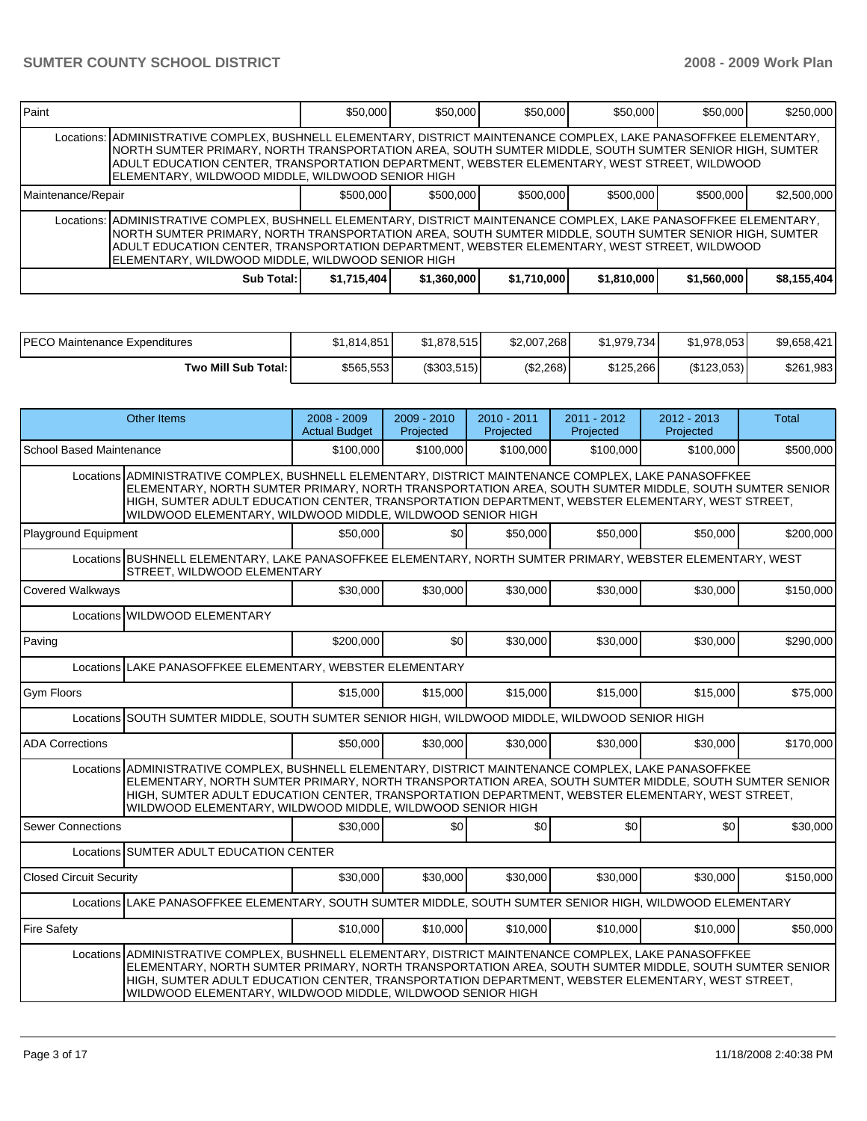| <b>IPaint</b>                                                                                                                                                                                                                                                                                                                                                                       |                                                                                                                                                                                                                                                                                                                                                                                      | \$50,000    | \$50,000    | \$50,000    | \$50,000    | \$50,000    | \$250,000   |  |  |  |
|-------------------------------------------------------------------------------------------------------------------------------------------------------------------------------------------------------------------------------------------------------------------------------------------------------------------------------------------------------------------------------------|--------------------------------------------------------------------------------------------------------------------------------------------------------------------------------------------------------------------------------------------------------------------------------------------------------------------------------------------------------------------------------------|-------------|-------------|-------------|-------------|-------------|-------------|--|--|--|
|                                                                                                                                                                                                                                                                                                                                                                                     | Locations:   ADMINISTRATIVE COMPLEX, BUSHNELL ELEMENTARY, DISTRICT MAINTENANCE COMPLEX, LAKE PANASOFFKEE ELEMENTARY,<br>INORTH SUMTER PRIMARY, NORTH TRANSPORTATION AREA, SOUTH SUMTER MIDDLE, SOUTH SUMTER SENIOR HIGH, SUMTER<br>ADULT EDUCATION CENTER, TRANSPORTATION DEPARTMENT, WEBSTER ELEMENTARY, WEST STREET, WILDWOOD<br>ELEMENTARY, WILDWOOD MIDDLE, WILDWOOD SENIOR HIGH |             |             |             |             |             |             |  |  |  |
| Maintenance/Repair                                                                                                                                                                                                                                                                                                                                                                  |                                                                                                                                                                                                                                                                                                                                                                                      | \$500,000   | \$500,000   | \$500,000   | \$500,000   | \$500,000   | \$2,500,000 |  |  |  |
| Locations:  ADMINISTRATIVE COMPLEX, BUSHNELL ELEMENTARY, DISTRICT MAINTENANCE COMPLEX, LAKE PANASOFFKEE ELEMENTARY,<br>INORTH SUMTER PRIMARY, NORTH TRANSPORTATION AREA, SOUTH SUMTER MIDDLE, SOUTH SUMTER SENIOR HIGH, SUMTER<br>ADULT EDUCATION CENTER, TRANSPORTATION DEPARTMENT, WEBSTER ELEMENTARY, WEST STREET, WILDWOOD<br>ELEMENTARY, WILDWOOD MIDDLE, WILDWOOD SENIOR HIGH |                                                                                                                                                                                                                                                                                                                                                                                      |             |             |             |             |             |             |  |  |  |
|                                                                                                                                                                                                                                                                                                                                                                                     | Sub Total:                                                                                                                                                                                                                                                                                                                                                                           | \$1,715,404 | \$1,360,000 | \$1,710,000 | \$1,810,000 | \$1,560,000 | \$8,155,404 |  |  |  |

| PECO Maintenance Expenditures | \$1,814,851 | \$1.878.515 | \$2,007,268 | \$1,979,734 | \$1,978,053 | \$9,658,421 |
|-------------------------------|-------------|-------------|-------------|-------------|-------------|-------------|
| Two Mill Sub Total: I         | \$565,553   | (S303, 515) | (\$2,268)   | \$125.266   | (\$123,053) | \$261,983   |

| Other Items                                                                                                                                                                                                                                                                                                                                                                      | $2008 - 2009$<br><b>Actual Budget</b>                                                                                                                                                                                                                                                                                                                                            | $2009 - 2010$<br>Projected | $2010 - 2011$<br>Projected | $2011 - 2012$<br>Projected | $2012 - 2013$<br>Projected | Total     |  |  |  |  |
|----------------------------------------------------------------------------------------------------------------------------------------------------------------------------------------------------------------------------------------------------------------------------------------------------------------------------------------------------------------------------------|----------------------------------------------------------------------------------------------------------------------------------------------------------------------------------------------------------------------------------------------------------------------------------------------------------------------------------------------------------------------------------|----------------------------|----------------------------|----------------------------|----------------------------|-----------|--|--|--|--|
| <b>School Based Maintenance</b>                                                                                                                                                                                                                                                                                                                                                  | \$100,000                                                                                                                                                                                                                                                                                                                                                                        | \$100,000                  | \$100,000                  | \$100.000                  | \$100,000                  | \$500,000 |  |  |  |  |
|                                                                                                                                                                                                                                                                                                                                                                                  | Locations ADMINISTRATIVE COMPLEX, BUSHNELL ELEMENTARY, DISTRICT MAINTENANCE COMPLEX, LAKE PANASOFFKEE<br>ELEMENTARY, NORTH SUMTER PRIMARY, NORTH TRANSPORTATION AREA, SOUTH SUMTER MIDDLE, SOUTH SUMTER SENIOR<br>HIGH, SUMTER ADULT EDUCATION CENTER, TRANSPORTATION DEPARTMENT, WEBSTER ELEMENTARY, WEST STREET,<br>WILDWOOD ELEMENTARY, WILDWOOD MIDDLE, WILDWOOD SENIOR HIGH |                            |                            |                            |                            |           |  |  |  |  |
| <b>Playground Equipment</b>                                                                                                                                                                                                                                                                                                                                                      | \$50,000                                                                                                                                                                                                                                                                                                                                                                         | \$0 <sub>l</sub>           | \$50,000                   | \$50,000                   | \$50,000                   | \$200,000 |  |  |  |  |
|                                                                                                                                                                                                                                                                                                                                                                                  | Locations BUSHNELL ELEMENTARY, LAKE PANASOFFKEE ELEMENTARY, NORTH SUMTER PRIMARY, WEBSTER ELEMENTARY, WEST<br>STREET. WILDWOOD ELEMENTARY                                                                                                                                                                                                                                        |                            |                            |                            |                            |           |  |  |  |  |
| <b>Covered Walkways</b>                                                                                                                                                                                                                                                                                                                                                          | \$30,000                                                                                                                                                                                                                                                                                                                                                                         | \$30,000                   | \$30,000                   | \$30,000                   | \$30,000                   | \$150,000 |  |  |  |  |
| Locations WILDWOOD ELEMENTARY                                                                                                                                                                                                                                                                                                                                                    |                                                                                                                                                                                                                                                                                                                                                                                  |                            |                            |                            |                            |           |  |  |  |  |
| Paving                                                                                                                                                                                                                                                                                                                                                                           | \$200,000                                                                                                                                                                                                                                                                                                                                                                        | \$0                        | \$30,000                   | \$30,000                   | \$30,000                   | \$290,000 |  |  |  |  |
|                                                                                                                                                                                                                                                                                                                                                                                  | Locations LAKE PANASOFFKEE ELEMENTARY, WEBSTER ELEMENTARY                                                                                                                                                                                                                                                                                                                        |                            |                            |                            |                            |           |  |  |  |  |
| <b>Gym Floors</b>                                                                                                                                                                                                                                                                                                                                                                | \$15,000                                                                                                                                                                                                                                                                                                                                                                         | \$15,000                   | \$15,000                   | \$15,000                   | \$15,000                   | \$75,000  |  |  |  |  |
| Locations SOUTH SUMTER MIDDLE, SOUTH SUMTER SENIOR HIGH, WILDWOOD MIDDLE, WILDWOOD SENIOR HIGH                                                                                                                                                                                                                                                                                   |                                                                                                                                                                                                                                                                                                                                                                                  |                            |                            |                            |                            |           |  |  |  |  |
| <b>ADA Corrections</b>                                                                                                                                                                                                                                                                                                                                                           | \$50,000                                                                                                                                                                                                                                                                                                                                                                         | \$30,000                   | \$30,000                   | \$30,000                   | \$30,000                   | \$170,000 |  |  |  |  |
| Locations ADMINISTRATIVE COMPLEX. BUSHNELL ELEMENTARY. DISTRICT MAINTENANCE COMPLEX. LAKE PANASOFFKEE<br>ELEMENTARY, NORTH SUMTER PRIMARY, NORTH TRANSPORTATION AREA, SOUTH SUMTER MIDDLE, SOUTH SUMTER SENIOR<br>HIGH, SUMTER ADULT EDUCATION CENTER, TRANSPORTATION DEPARTMENT, WEBSTER ELEMENTARY, WEST STREET,<br>WILDWOOD ELEMENTARY, WILDWOOD MIDDLE, WILDWOOD SENIOR HIGH |                                                                                                                                                                                                                                                                                                                                                                                  |                            |                            |                            |                            |           |  |  |  |  |
| <b>Sewer Connections</b>                                                                                                                                                                                                                                                                                                                                                         | \$30,000                                                                                                                                                                                                                                                                                                                                                                         | \$0                        | \$0                        | \$0                        | \$0                        | \$30,000  |  |  |  |  |
| Locations SUMTER ADULT EDUCATION CENTER                                                                                                                                                                                                                                                                                                                                          |                                                                                                                                                                                                                                                                                                                                                                                  |                            |                            |                            |                            |           |  |  |  |  |
| <b>Closed Circuit Security</b>                                                                                                                                                                                                                                                                                                                                                   | \$30,000                                                                                                                                                                                                                                                                                                                                                                         | \$30,000                   | \$30,000                   | \$30,000                   | \$30,000                   | \$150,000 |  |  |  |  |
| Locations LAKE PANASOFFKEE ELEMENTARY, SOUTH SUMTER MIDDLE, SOUTH SUMTER SENIOR HIGH, WILDWOOD ELEMENTARY                                                                                                                                                                                                                                                                        |                                                                                                                                                                                                                                                                                                                                                                                  |                            |                            |                            |                            |           |  |  |  |  |
| <b>Fire Safety</b>                                                                                                                                                                                                                                                                                                                                                               | \$10,000                                                                                                                                                                                                                                                                                                                                                                         | \$10,000                   | \$10,000                   | \$10,000                   | \$10,000                   | \$50,000  |  |  |  |  |
|                                                                                                                                                                                                                                                                                                                                                                                  | Locations ADMINISTRATIVE COMPLEX, BUSHNELL ELEMENTARY, DISTRICT MAINTENANCE COMPLEX, LAKE PANASOFFKEE<br>ELEMENTARY, NORTH SUMTER PRIMARY, NORTH TRANSPORTATION AREA, SOUTH SUMTER MIDDLE, SOUTH SUMTER SENIOR<br>HIGH, SUMTER ADULT EDUCATION CENTER, TRANSPORTATION DEPARTMENT, WEBSTER ELEMENTARY, WEST STREET,<br>WILDWOOD ELEMENTARY, WILDWOOD MIDDLE, WILDWOOD SENIOR HIGH |                            |                            |                            |                            |           |  |  |  |  |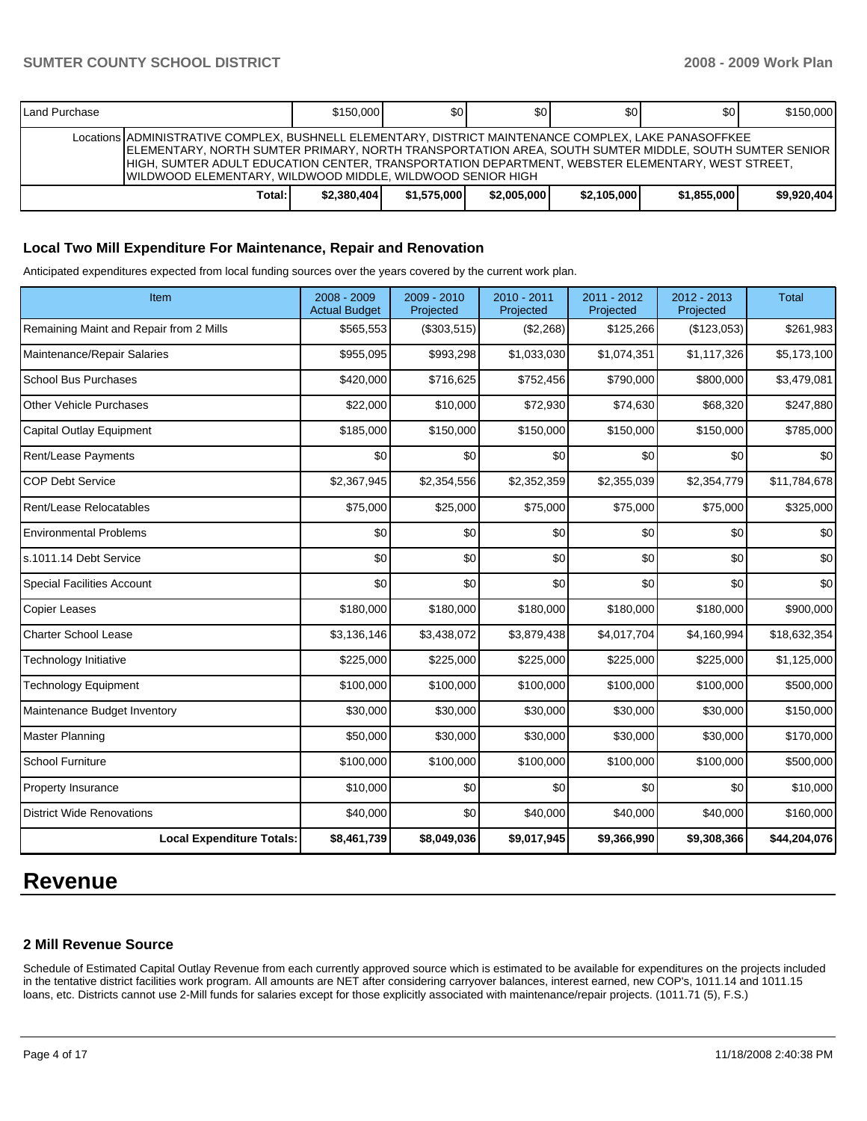| Land Purchase |                                                                                                                                                                                                                                                                                                                                                                                  | \$150,000   | \$0         | ا 30        | \$0         | \$0 <sub>0</sub> | \$150,000   |
|---------------|----------------------------------------------------------------------------------------------------------------------------------------------------------------------------------------------------------------------------------------------------------------------------------------------------------------------------------------------------------------------------------|-------------|-------------|-------------|-------------|------------------|-------------|
|               | Locations ADMINISTRATIVE COMPLEX, BUSHNELL ELEMENTARY, DISTRICT MAINTENANCE COMPLEX, LAKE PANASOFFKEE<br>ELEMENTARY, NORTH SUMTER PRIMARY, NORTH TRANSPORTATION AREA, SOUTH SUMTER MIDDLE, SOUTH SUMTER SENIOR<br>HIGH, SUMTER ADULT EDUCATION CENTER, TRANSPORTATION DEPARTMENT, WEBSTER ELEMENTARY, WEST STREET,<br>WILDWOOD ELEMENTARY, WILDWOOD MIDDLE, WILDWOOD SENIOR HIGH |             |             |             |             |                  |             |
|               | Total:                                                                                                                                                                                                                                                                                                                                                                           | \$2.380.404 | \$1.575,000 | \$2,005,000 | \$2,105,000 | \$1.855.000      | \$9,920,404 |

#### **Local Two Mill Expenditure For Maintenance, Repair and Renovation**

Anticipated expenditures expected from local funding sources over the years covered by the current work plan.

| Item                                    | $2008 - 2009$<br><b>Actual Budget</b> | 2009 - 2010<br>Projected | 2010 - 2011<br>Projected | 2011 - 2012<br>Projected | $2012 - 2013$<br>Projected | Total        |
|-----------------------------------------|---------------------------------------|--------------------------|--------------------------|--------------------------|----------------------------|--------------|
| Remaining Maint and Repair from 2 Mills | \$565,553                             | (\$303,515)              | (\$2,268)                | \$125,266                | (\$123,053)                | \$261,983    |
| Maintenance/Repair Salaries             | \$955,095                             | \$993,298                | \$1,033,030              | \$1,074,351              | \$1,117,326                | \$5,173,100  |
| <b>School Bus Purchases</b>             | \$420,000                             | \$716,625                | \$752,456                | \$790,000                | \$800,000                  | \$3,479,081  |
| <b>Other Vehicle Purchases</b>          | \$22,000                              | \$10,000                 | \$72,930                 | \$74,630                 | \$68,320                   | \$247,880    |
| Capital Outlay Equipment                | \$185,000                             | \$150,000                | \$150,000                | \$150,000                | \$150,000                  | \$785,000    |
| Rent/Lease Payments                     | \$0                                   | \$0                      | \$0                      | \$0                      | \$0                        | \$0          |
| <b>COP Debt Service</b>                 | \$2,367,945                           | \$2,354,556              | \$2,352,359              | \$2,355,039              | \$2,354,779                | \$11,784,678 |
| Rent/Lease Relocatables                 | \$75,000                              | \$25,000                 | \$75,000                 | \$75,000                 | \$75,000                   | \$325,000    |
| <b>Environmental Problems</b>           | \$0                                   | \$0                      | \$0                      | \$0                      | \$0                        | \$0          |
| s.1011.14 Debt Service                  | \$0                                   | \$0                      | \$0                      | \$0                      | \$0                        | \$0          |
| <b>Special Facilities Account</b>       | \$0                                   | \$0                      | \$0                      | \$0                      | \$0                        | \$0          |
| <b>Copier Leases</b>                    | \$180,000                             | \$180,000                | \$180,000                | \$180,000                | \$180,000                  | \$900,000    |
| <b>Charter School Lease</b>             | \$3,136,146                           | \$3,438,072              | \$3,879,438              | \$4,017,704              | \$4,160,994                | \$18,632,354 |
| Technology Initiative                   | \$225,000                             | \$225,000                | \$225,000                | \$225,000                | \$225,000                  | \$1,125,000  |
| <b>Technology Equipment</b>             | \$100,000                             | \$100,000                | \$100,000                | \$100,000                | \$100,000                  | \$500,000    |
| Maintenance Budget Inventory            | \$30,000                              | \$30,000                 | \$30,000                 | \$30,000                 | \$30,000                   | \$150,000    |
| Master Planning                         | \$50,000                              | \$30,000                 | \$30,000                 | \$30,000                 | \$30,000                   | \$170,000    |
| <b>School Furniture</b>                 | \$100,000                             | \$100,000                | \$100,000                | \$100,000                | \$100,000                  | \$500,000    |
| Property Insurance                      | \$10,000                              | \$0                      | \$0                      | \$0                      | \$0                        | \$10,000     |
| <b>District Wide Renovations</b>        | \$40,000                              | \$0                      | \$40,000                 | \$40,000                 | \$40,000                   | \$160,000    |
| <b>Local Expenditure Totals:</b>        | \$8,461,739                           | \$8,049,036              | \$9,017,945              | \$9,366,990              | \$9,308,366                | \$44,204,076 |

# **Revenue**

# **2 Mill Revenue Source**

Schedule of Estimated Capital Outlay Revenue from each currently approved source which is estimated to be available for expenditures on the projects included in the tentative district facilities work program. All amounts are NET after considering carryover balances, interest earned, new COP's, 1011.14 and 1011.15 loans, etc. Districts cannot use 2-Mill funds for salaries except for those explicitly associated with maintenance/repair projects. (1011.71 (5), F.S.)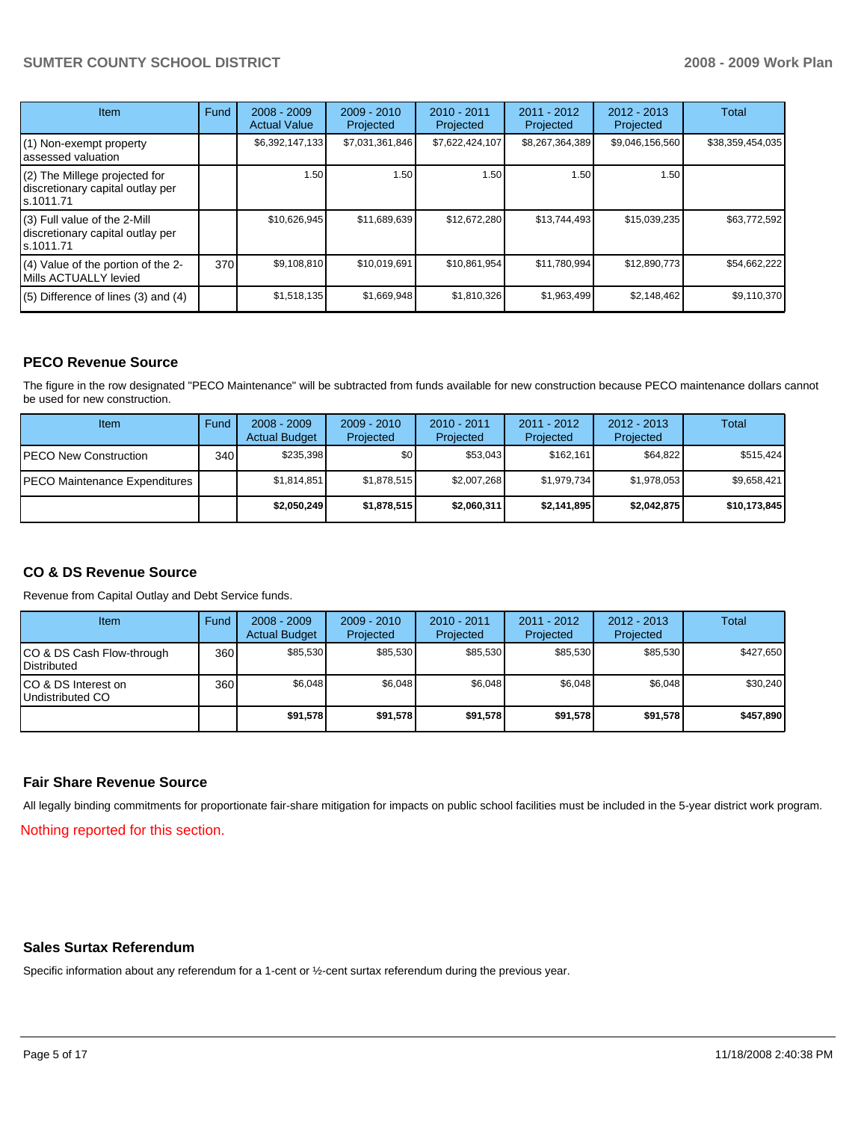# **SUMTER COUNTY SCHOOL DISTRICT 2008 - 2009 Work Plan**

| <b>Item</b>                                                                    | Fund | $2008 - 2009$<br><b>Actual Value</b> | $2009 - 2010$<br>Projected | 2010 - 2011<br>Projected | $2011 - 2012$<br>Projected | $2012 - 2013$<br>Projected | Total            |
|--------------------------------------------------------------------------------|------|--------------------------------------|----------------------------|--------------------------|----------------------------|----------------------------|------------------|
| (1) Non-exempt property<br>assessed valuation                                  |      | \$6,392,147,133                      | \$7,031,361,846            | \$7,622,424,107          | \$8,267,364,389            | \$9,046,156,560            | \$38,359,454,035 |
| (2) The Millege projected for<br>discretionary capital outlay per<br>s.1011.71 |      | 1.50                                 | 1.50                       | 1.50                     | 1.50                       | 1.50                       |                  |
| (3) Full value of the 2-Mill<br>discretionary capital outlay per<br>s.1011.71  |      | \$10,626,945                         | \$11,689,639               | \$12,672,280             | \$13,744,493               | \$15,039,235               | \$63,772,592     |
| (4) Value of the portion of the 2-<br>Mills ACTUALLY levied                    | 370  | \$9,108,810                          | \$10,019,691               | \$10,861,954             | \$11,780,994               | \$12,890,773               | \$54,662,222     |
| $(5)$ Difference of lines $(3)$ and $(4)$                                      |      | \$1,518,135                          | \$1,669,948                | \$1,810,326              | \$1,963,499                | \$2,148,462                | \$9,110,370      |

# **PECO Revenue Source**

The figure in the row designated "PECO Maintenance" will be subtracted from funds available for new construction because PECO maintenance dollars cannot be used for new construction.

| Item                                 | Fund | $2008 - 2009$<br><b>Actual Budget</b> | $2009 - 2010$<br>Projected | $2010 - 2011$<br>Projected | 2011 - 2012<br>Projected | $2012 - 2013$<br>Projected | Total        |
|--------------------------------------|------|---------------------------------------|----------------------------|----------------------------|--------------------------|----------------------------|--------------|
| <b>IPECO New Construction</b>        | 340  | \$235.398                             | \$0 <sub>1</sub>           | \$53.043                   | \$162.161                | \$64.822                   | \$515,424    |
| <b>PECO Maintenance Expenditures</b> |      | \$1,814,851                           | \$1,878,515                | \$2,007,268                | \$1,979,734              | \$1,978,053                | \$9,658,421  |
|                                      |      | \$2,050,249                           | \$1,878,515                | \$2,060,311                | \$2,141,895              | \$2.042.875                | \$10,173,845 |

# **CO & DS Revenue Source**

Revenue from Capital Outlay and Debt Service funds.

| Item                                               | Fund | $2008 - 2009$<br><b>Actual Budget</b> | $2009 - 2010$<br>Projected | $2010 - 2011$<br>Projected | 2011 - 2012<br>Projected | $2012 - 2013$<br>Projected | Total     |
|----------------------------------------------------|------|---------------------------------------|----------------------------|----------------------------|--------------------------|----------------------------|-----------|
| ICO & DS Cash Flow-through<br><b>I</b> Distributed | 360  | \$85.530                              | \$85.530                   | \$85.530                   | \$85.530                 | \$85.530                   | \$427,650 |
| ICO & DS Interest on<br>Undistributed CO           | 360  | \$6.048                               | \$6,048                    | \$6.048                    | \$6.048                  | \$6,048                    | \$30.240  |
|                                                    |      | \$91,578                              | \$91,578                   | \$91,578                   | \$91,578                 | \$91,578                   | \$457,890 |

#### **Fair Share Revenue Source**

All legally binding commitments for proportionate fair-share mitigation for impacts on public school facilities must be included in the 5-year district work program.

Nothing reported for this section.

#### **Sales Surtax Referendum**

Specific information about any referendum for a 1-cent or ½-cent surtax referendum during the previous year.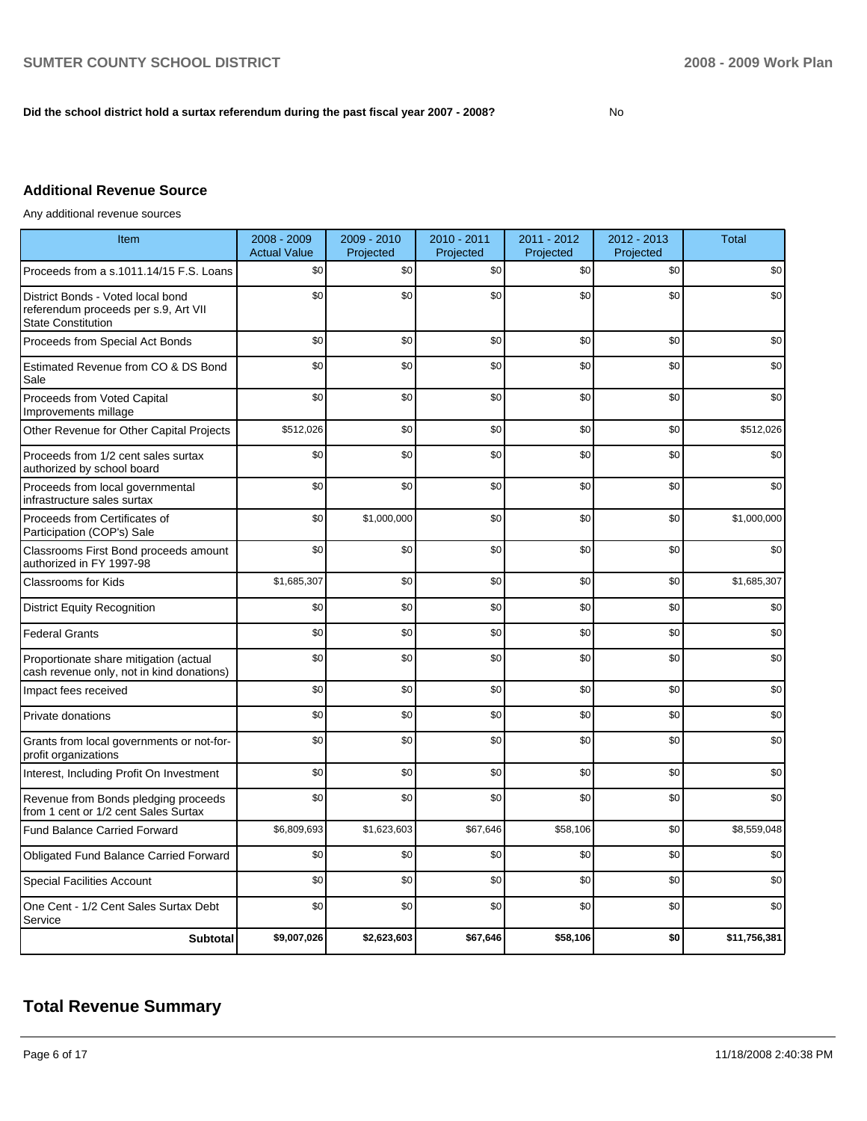### Did the school district hold a surtax referendum during the past fiscal year 2007 - 2008?

# **Additional Revenue Source**

Any additional revenue sources

| Item                                                                                                   | 2008 - 2009<br><b>Actual Value</b> | 2009 - 2010<br>Projected | 2010 - 2011<br>Projected | 2011 - 2012<br>Projected | 2012 - 2013<br>Projected | <b>Total</b> |
|--------------------------------------------------------------------------------------------------------|------------------------------------|--------------------------|--------------------------|--------------------------|--------------------------|--------------|
| Proceeds from a s.1011.14/15 F.S. Loans                                                                | \$0                                | \$0                      | \$0                      | \$0                      | \$0                      | \$0          |
| District Bonds - Voted local bond<br>referendum proceeds per s.9, Art VII<br><b>State Constitution</b> | \$0                                | \$0                      | \$0                      | \$0                      | \$0                      | \$0          |
| Proceeds from Special Act Bonds                                                                        | \$0                                | \$0                      | \$0                      | \$0                      | \$0                      | \$0          |
| Estimated Revenue from CO & DS Bond<br>Sale                                                            | \$0                                | \$0                      | \$0                      | \$0                      | \$0                      | \$0          |
| Proceeds from Voted Capital<br>Improvements millage                                                    | \$0                                | \$0                      | \$0                      | \$0                      | \$0                      | \$0          |
| Other Revenue for Other Capital Projects                                                               | \$512,026                          | \$0                      | \$0                      | \$0                      | \$0                      | \$512,026    |
| Proceeds from 1/2 cent sales surtax<br>authorized by school board                                      | \$0                                | \$0                      | \$0                      | \$0                      | \$0                      | \$0          |
| Proceeds from local governmental<br>infrastructure sales surtax                                        | \$0                                | \$0                      | \$0                      | \$0                      | \$0                      | \$0          |
| Proceeds from Certificates of<br>Participation (COP's) Sale                                            | \$0                                | \$1,000,000              | \$0                      | \$0                      | \$0                      | \$1,000,000  |
| Classrooms First Bond proceeds amount<br>authorized in FY 1997-98                                      | \$0                                | \$0                      | \$0                      | \$0                      | \$0                      | \$0          |
| <b>Classrooms for Kids</b>                                                                             | \$1,685,307                        | \$0                      | \$0                      | \$0                      | \$0                      | \$1,685,307  |
| <b>District Equity Recognition</b>                                                                     | \$0                                | \$0                      | \$0                      | \$0                      | \$0                      | \$0          |
| <b>Federal Grants</b>                                                                                  | \$0                                | \$0                      | \$0                      | \$0                      | \$0                      | \$0          |
| Proportionate share mitigation (actual<br>cash revenue only, not in kind donations)                    | \$0                                | \$0                      | \$0                      | \$0                      | \$0                      | \$0          |
| Impact fees received                                                                                   | \$0                                | \$0                      | \$0                      | \$0                      | \$0                      | \$0          |
| Private donations                                                                                      | \$0                                | \$0                      | \$0                      | \$0                      | \$0                      | \$0          |
| Grants from local governments or not-for-<br>profit organizations                                      | \$0                                | \$0                      | \$0                      | \$0                      | \$0                      | \$0          |
| Interest, Including Profit On Investment                                                               | \$0                                | \$0                      | \$0                      | \$0                      | \$0                      | \$0          |
| Revenue from Bonds pledging proceeds<br>from 1 cent or 1/2 cent Sales Surtax                           | \$0                                | \$0                      | \$0                      | \$0                      | \$0                      | \$0          |
| Fund Balance Carried Forward                                                                           | \$6,809,693                        | \$1,623,603              | \$67,646                 | \$58,106                 | \$0                      | \$8,559,048  |
| Obligated Fund Balance Carried Forward                                                                 | \$0                                | \$0                      | \$0                      | \$0                      | \$0                      | \$0          |
| <b>Special Facilities Account</b>                                                                      | \$0                                | \$0                      | \$0                      | \$0                      | \$0                      | \$0          |
| One Cent - 1/2 Cent Sales Surtax Debt<br>Service                                                       | \$0                                | \$0                      | \$0                      | \$0                      | \$0                      | \$0          |
| <b>Subtotal</b>                                                                                        | \$9,007,026                        | \$2,623,603              | \$67,646                 | \$58,106                 | \$0                      | \$11,756,381 |

# **Total Revenue Summary**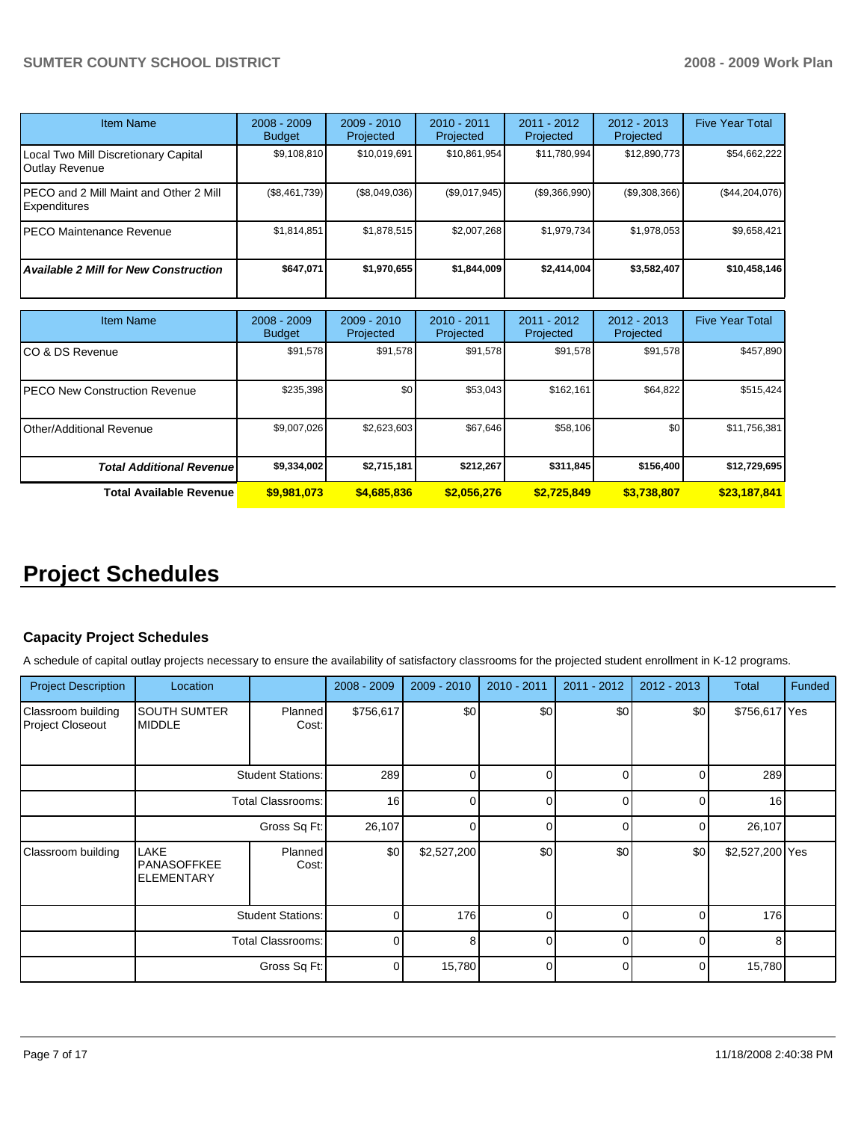| <b>Item Name</b>                                               | $2008 - 2009$<br><b>Budget</b> | $2009 - 2010$<br>Projected | $2010 - 2011$<br>Projected | 2011 - 2012<br>Projected | $2012 - 2013$<br>Projected | <b>Five Year Total</b> |
|----------------------------------------------------------------|--------------------------------|----------------------------|----------------------------|--------------------------|----------------------------|------------------------|
| Local Two Mill Discretionary Capital<br>Outlay Revenue         | \$9,108,810                    | \$10,019,691               | \$10,861,954               | \$11,780,994             | \$12,890,773               | \$54,662,222           |
| IPECO and 2 Mill Maint and Other 2 Mill<br><b>Expenditures</b> | (\$8,461,739)                  | (\$8,049,036)              | (\$9,017,945)              | (\$9,366,990)            | (\$9,308,366)              | $(\$44,204,076)$       |
| IPECO Maintenance Revenue                                      | \$1,814,851                    | \$1,878,515                | \$2,007,268                | \$1,979,734              | \$1,978,053                | \$9,658,421            |
| <b>Available 2 Mill for New Construction</b>                   | \$647,071                      | \$1,970,655                | \$1,844,009                | \$2,414,004              | \$3,582,407                | \$10,458,146           |

| Item Name                             | $2008 - 2009$<br><b>Budget</b> | $2009 - 2010$<br>Projected | $2010 - 2011$<br>Projected | 2011 - 2012<br>Projected | $2012 - 2013$<br>Projected | <b>Five Year Total</b> |
|---------------------------------------|--------------------------------|----------------------------|----------------------------|--------------------------|----------------------------|------------------------|
| ICO & DS Revenue                      | \$91,578                       | \$91.578                   | \$91,578                   | \$91,578                 | \$91,578                   | \$457,890              |
| <b>IPECO New Construction Revenue</b> | \$235,398                      | \$0                        | \$53,043                   | \$162,161                | \$64,822                   | \$515,424              |
| Other/Additional Revenue              | \$9,007,026                    | \$2,623,603                | \$67,646                   | \$58,106                 | \$0 <sub>1</sub>           | \$11,756,381           |
| <b>Total Additional Revenuel</b>      | \$9,334,002                    | \$2,715,181                | \$212,267                  | \$311,845                | \$156,400                  | \$12,729,695           |
| Total Available Revenue               | \$9,981,073                    | \$4,685,836                | \$2,056,276                | \$2.725.849              | \$3,738,807                | \$23,187,841           |

# **Project Schedules**

# **Capacity Project Schedules**

A schedule of capital outlay projects necessary to ensure the availability of satisfactory classrooms for the projected student enrollment in K-12 programs.

| <b>Project Description</b>             | Location                                        |                          | $2008 - 2009$ | $2009 - 2010$ | 2010 - 2011 | 2011 - 2012 | 2012 - 2013 | <b>Total</b>    | Funded |
|----------------------------------------|-------------------------------------------------|--------------------------|---------------|---------------|-------------|-------------|-------------|-----------------|--------|
| Classroom building<br>Project Closeout | <b>SOUTH SUMTER</b><br><b>MIDDLE</b>            | <b>Planned!</b><br>Cost: | \$756,617     | \$0           | \$0         | \$0         | \$0         | \$756,617 Yes   |        |
|                                        |                                                 | <b>Student Stations:</b> | 289           | 0             | $\Omega$    | $\Omega$    | $\Omega$    | 289             |        |
|                                        | <b>Total Classrooms:</b>                        |                          | 16            | 0             | $\Omega$    | $\Omega$    | $\Omega$    | 16 <sup>1</sup> |        |
|                                        | Gross Sq Ft:                                    |                          | 26,107        | $\Omega$      | $\Omega$    | $\Omega$    | $\Omega$    | 26,107          |        |
| Classroom building                     | <b>LAKE</b><br>PANASOFFKEE<br><b>ELEMENTARY</b> | Planned<br>Cost:         | \$0           | \$2,527,200   | \$0         | \$0         | \$0         | \$2,527,200 Yes |        |
|                                        | <b>Student Stations:</b>                        |                          | $\Omega$      | 176           | $\Omega$    | $\Omega$    | $\Omega$    | 176             |        |
|                                        | <b>Total Classrooms:</b>                        |                          | $\Omega$      | 8             | $\Omega$    | U           | $\Omega$    | 8               |        |
|                                        |                                                 | Gross Sq Ft:             | $\Omega$      | 15,780        | $\Omega$    | $\Omega$    | $\Omega$    | 15,780          |        |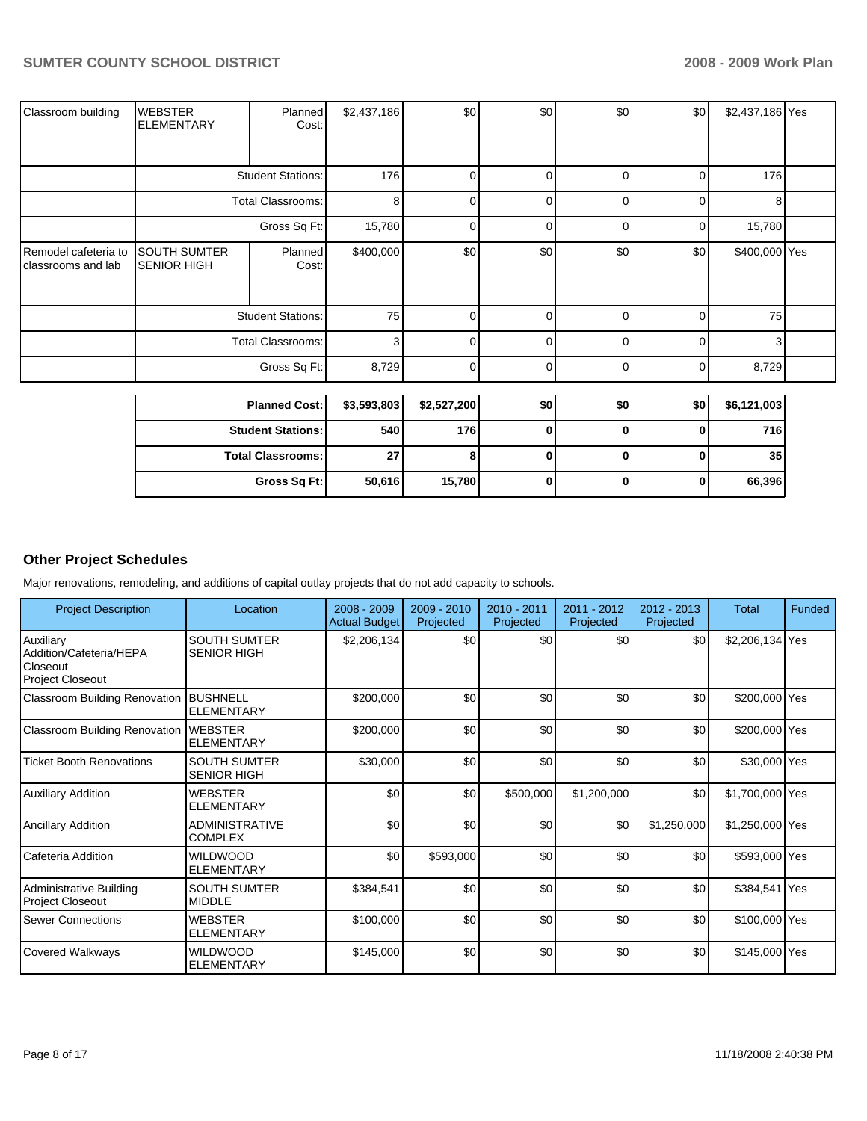| Classroom building                         | <b>WEBSTER</b><br><b>ELEMENTARY</b>       | Planned<br>Cost:         | \$2,437,186 | \$0         | \$0            | \$0            | \$0      | \$2,437,186 Yes |  |
|--------------------------------------------|-------------------------------------------|--------------------------|-------------|-------------|----------------|----------------|----------|-----------------|--|
|                                            |                                           |                          |             |             |                |                |          |                 |  |
|                                            |                                           | <b>Student Stations:</b> | 176         | 0           | $\overline{0}$ | 01             | 0        | 176             |  |
|                                            |                                           | <b>Total Classrooms:</b> | 8           | 0           | 0              | Οl             | 0        | 8               |  |
|                                            |                                           | Gross Sq Ft:             | 15,780      | 0           | 0              | 01             | 0        | 15,780          |  |
| Remodel cafeteria to<br>classrooms and lab | <b>SOUTH SUMTER</b><br><b>SENIOR HIGH</b> | Planned<br>Cost:         | \$400,000   | \$0         | \$0            | \$0            | \$0      | \$400,000 Yes   |  |
|                                            | <b>Student Stations:</b>                  |                          | 75          | $\Omega$    | 0              | 0              | $\Omega$ | 75              |  |
|                                            |                                           | <b>Total Classrooms:</b> | 3           | 0           | 0              | $\overline{0}$ | 0        | 3               |  |
|                                            |                                           | Gross Sq Ft:             | 8,729       | 0           | 0              | ٥I             | 0        | 8,729           |  |
|                                            |                                           | <b>Planned Cost:</b>     | \$3,593,803 | \$2,527,200 | \$0            | \$0            | \$0      | \$6,121,003     |  |
|                                            |                                           |                          |             |             |                |                |          |                 |  |
|                                            |                                           | <b>Student Stations:</b> | 540         | 176         | $\mathbf 0$    | $\mathbf{0}$   | 0        | 716             |  |
|                                            |                                           | <b>Total Classrooms:</b> | 27          | 8           | $\mathbf 0$    | $\mathbf{0}$   | $\bf{0}$ | 35              |  |
|                                            |                                           | Gross Sq Ft:             | 50,616      | 15,780      | $\bf{0}$       | 0              | 0        | 66,396          |  |

# **Other Project Schedules**

Major renovations, remodeling, and additions of capital outlay projects that do not add capacity to schools.

| <b>Project Description</b>                                                  | Location                                  | $2008 - 2009$<br><b>Actual Budget</b> | 2009 - 2010<br>Projected | $2010 - 2011$<br>Projected | 2011 - 2012<br>Projected | $2012 - 2013$<br>Projected | Total           | Funded |
|-----------------------------------------------------------------------------|-------------------------------------------|---------------------------------------|--------------------------|----------------------------|--------------------------|----------------------------|-----------------|--------|
| Auxiliary<br>Addition/Cafeteria/HEPA<br>Closeout<br><b>Project Closeout</b> | <b>SOUTH SUMTER</b><br><b>SENIOR HIGH</b> | \$2,206,134                           | \$0                      | \$0                        | \$0                      | \$0                        | \$2,206,134 Yes |        |
| Classroom Building Renovation                                               | <b>BUSHNELL</b><br><b>ELEMENTARY</b>      | \$200,000                             | \$0                      | \$0                        | \$0                      | \$0                        | \$200,000 Yes   |        |
| <b>Classroom Building Renovation</b>                                        | <b>WEBSTER</b><br><b>ELEMENTARY</b>       | \$200,000                             | \$0                      | \$0                        | \$0                      | \$0                        | \$200,000 Yes   |        |
| <b>Ticket Booth Renovations</b>                                             | <b>SOUTH SUMTER</b><br><b>SENIOR HIGH</b> | \$30,000                              | \$0                      | \$0                        | \$0                      | \$0                        | \$30,000 Yes    |        |
| <b>Auxiliary Addition</b>                                                   | <b>WEBSTER</b><br><b>ELEMENTARY</b>       | \$0                                   | \$0                      | \$500,000                  | \$1,200,000              | \$0                        | \$1,700,000 Yes |        |
| <b>Ancillary Addition</b>                                                   | <b>ADMINISTRATIVE</b><br><b>COMPLEX</b>   | \$0                                   | \$0                      | \$0                        | \$0                      | \$1,250,000                | \$1,250,000 Yes |        |
| Cafeteria Addition                                                          | <b>WILDWOOD</b><br><b>ELEMENTARY</b>      | \$0                                   | \$593,000                | \$0                        | \$0                      | \$0                        | \$593,000 Yes   |        |
| Administrative Building<br><b>Project Closeout</b>                          | <b>SOUTH SUMTER</b><br><b>MIDDLE</b>      | \$384,541                             | \$0                      | \$0                        | \$0                      | \$0                        | \$384,541 Yes   |        |
| <b>Sewer Connections</b>                                                    | <b>WEBSTER</b><br><b>ELEMENTARY</b>       | \$100,000                             | \$0                      | \$0                        | \$0                      | \$0                        | \$100,000 Yes   |        |
| <b>Covered Walkways</b>                                                     | <b>WILDWOOD</b><br><b>ELEMENTARY</b>      | \$145,000                             | \$0                      | \$0                        | \$0                      | \$0                        | \$145,000 Yes   |        |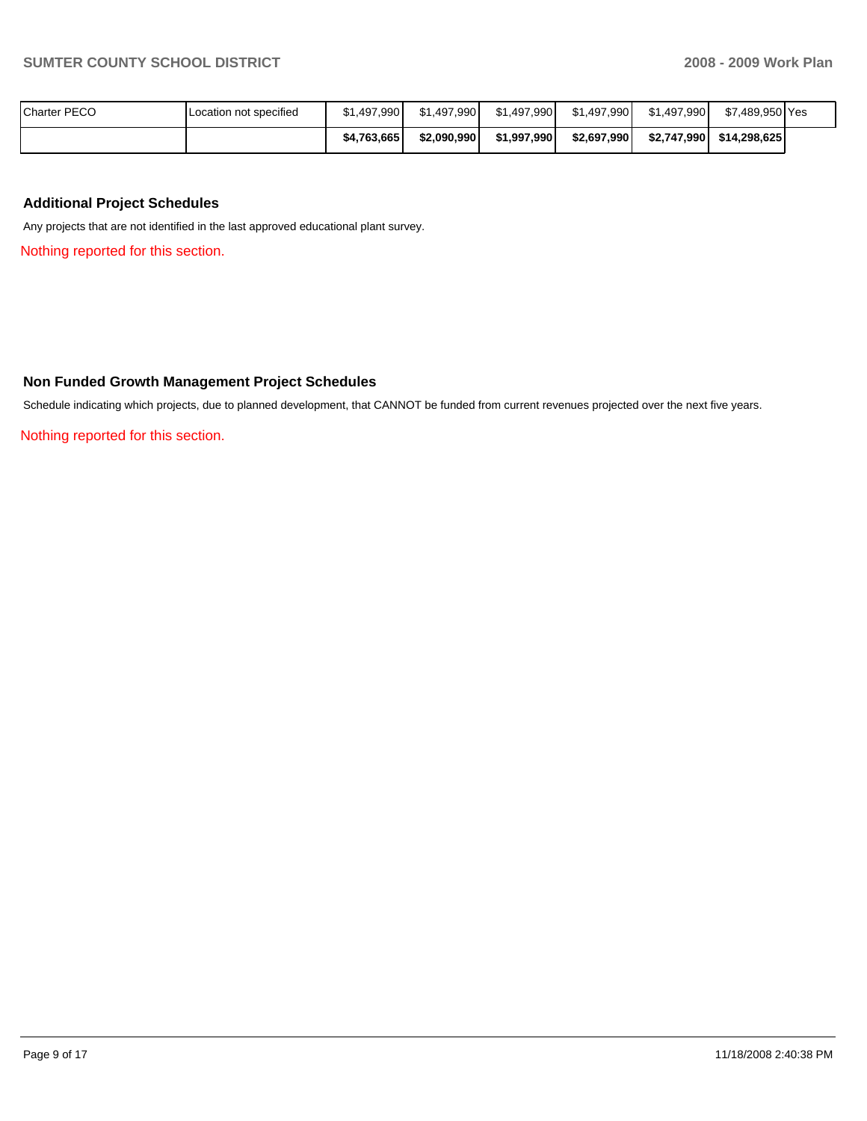| Charter PECO | Location not specified | \$1.497.990 | \$1.497.990 | \$1,497,990 | \$1,497,990 | \$1.497.990 | \$7.489.950 Yes |  |
|--------------|------------------------|-------------|-------------|-------------|-------------|-------------|-----------------|--|
|              |                        | \$4.763.665 | \$2.090.990 | \$1,997,990 | \$2,697,990 | \$2.747.990 | \$14.298.625    |  |

## **Additional Project Schedules**

Any projects that are not identified in the last approved educational plant survey.

Nothing reported for this section.

# **Non Funded Growth Management Project Schedules**

Schedule indicating which projects, due to planned development, that CANNOT be funded from current revenues projected over the next five years.

Nothing reported for this section.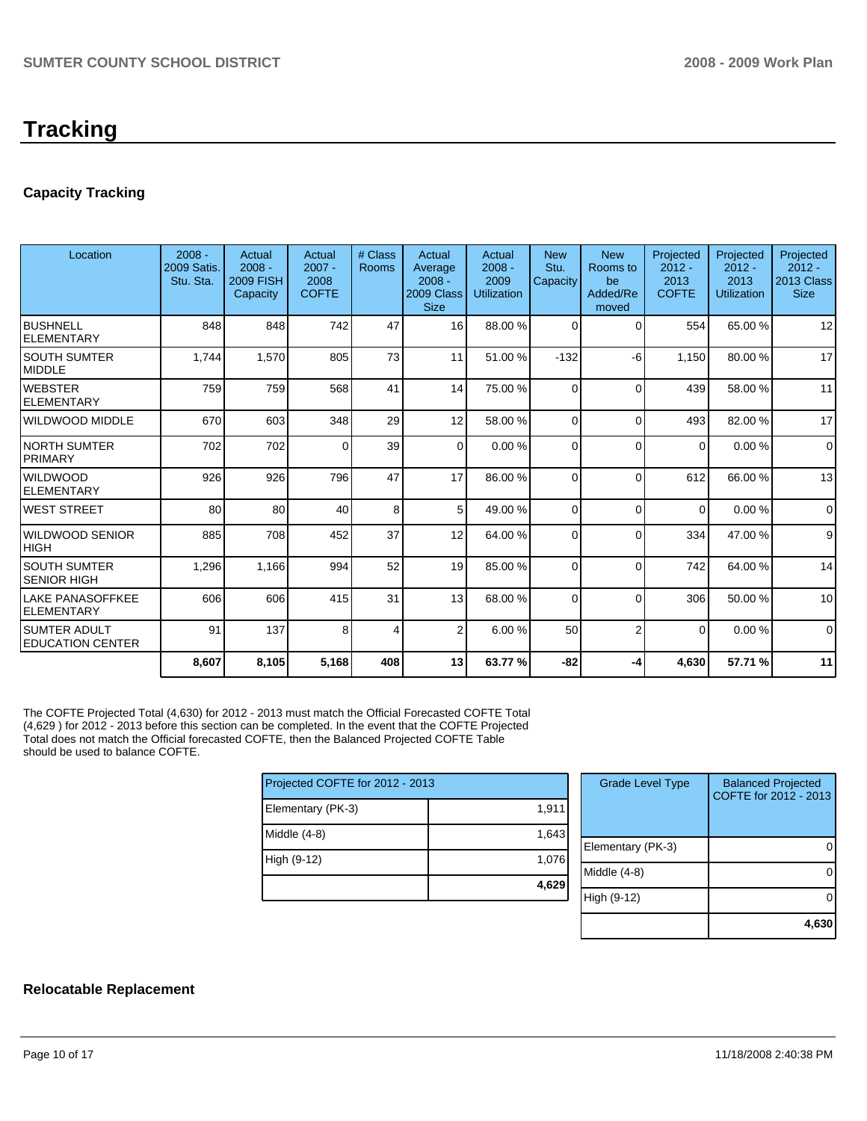# **Tracking**

# **Capacity Tracking**

| Location                                       | $2008 -$<br>2009 Satis.<br>Stu. Sta. | Actual<br>$2008 -$<br><b>2009 FISH</b><br>Capacity | Actual<br>$2007 -$<br>2008<br><b>COFTE</b> | # Class<br><b>Rooms</b> | Actual<br>Average<br>$2008 -$<br>2009 Class<br><b>Size</b> | Actual<br>$2008 -$<br>2009<br><b>Utilization</b> | <b>New</b><br>Stu.<br>Capacity | <b>New</b><br>Rooms to<br>be<br>Added/Re<br>moved | Projected<br>$2012 -$<br>2013<br><b>COFTE</b> | Projected<br>$2012 -$<br>2013<br><b>Utilization</b> | Projected<br>$2012 -$<br>2013 Class<br><b>Size</b> |
|------------------------------------------------|--------------------------------------|----------------------------------------------------|--------------------------------------------|-------------------------|------------------------------------------------------------|--------------------------------------------------|--------------------------------|---------------------------------------------------|-----------------------------------------------|-----------------------------------------------------|----------------------------------------------------|
| <b>BUSHNELL</b><br><b>ELEMENTARY</b>           | 848                                  | 848                                                | 742                                        | 47                      | 16 <sup>1</sup>                                            | 88.00 %                                          | $\Omega$                       | 0                                                 | 554                                           | 65.00 %                                             | 12                                                 |
| <b>SOUTH SUMTER</b><br><b>MIDDLE</b>           | 1,744                                | 1,570                                              | 805                                        | 73                      | 11                                                         | 51.00 %                                          | $-132$                         | -6                                                | 1,150                                         | 80.00 %                                             | 17                                                 |
| <b>WEBSTER</b><br>ELEMENTARY                   | 759                                  | 759                                                | 568                                        | 41                      | 14                                                         | 75.00 %                                          | $\Omega$                       | $\Omega$                                          | 439                                           | 58.00 %                                             | 11                                                 |
| <b>WILDWOOD MIDDLE</b>                         | 670                                  | 603                                                | 348                                        | 29                      | 12                                                         | 58.00 %                                          | $\Omega$                       | $\Omega$                                          | 493                                           | 82.00 %                                             | 17                                                 |
| <b>NORTH SUMTER</b><br><b>PRIMARY</b>          | 702                                  | 702                                                | $\Omega$                                   | 39                      | $\Omega$                                                   | 0.00%                                            | $\Omega$                       | $\Omega$                                          | $\Omega$                                      | 0.00%                                               | $\mathbf 0$                                        |
| <b>WILDWOOD</b><br><b>ELEMENTARY</b>           | 926                                  | 926                                                | 796                                        | 47                      | 17                                                         | 86.00 %                                          | $\Omega$                       | $\Omega$                                          | 612                                           | 66.00 %                                             | 13                                                 |
| <b>WEST STREET</b>                             | 80                                   | 80                                                 | 40                                         | 8                       | 5 <sup>1</sup>                                             | 49.00 %                                          | $\Omega$                       | $\Omega$                                          | $\mathbf 0$                                   | 0.00%                                               | $\mathbf 0$                                        |
| <b>WILDWOOD SENIOR</b><br><b>HIGH</b>          | 885                                  | 708                                                | 452                                        | 37                      | 12                                                         | 64.00 %                                          | $\Omega$                       | $\Omega$                                          | 334                                           | 47.00 %                                             | 9                                                  |
| <b>SOUTH SUMTER</b><br><b>SENIOR HIGH</b>      | 1,296                                | 1,166                                              | 994                                        | 52                      | 19                                                         | 85.00 %                                          | $\Omega$                       | $\Omega$                                          | 742                                           | 64.00 %                                             | 14                                                 |
| <b>LAKE PANASOFFKEE</b><br><b>ELEMENTARY</b>   | 606                                  | 606                                                | 415                                        | 31                      | 13                                                         | 68.00 %                                          | $\Omega$                       | $\Omega$                                          | 306                                           | 50.00 %                                             | 10                                                 |
| <b>SUMTER ADULT</b><br><b>EDUCATION CENTER</b> | 91                                   | 137                                                | 8                                          | 4                       | $\overline{2}$                                             | 6.00%                                            | 50                             | $\overline{2}$                                    | $\Omega$                                      | 0.00%                                               | $\Omega$                                           |
|                                                | 8,607                                | 8,105                                              | 5,168                                      | 408                     | 13                                                         | 63.77 %                                          | $-82$                          | -4                                                | 4,630                                         | 57.71 %                                             | 11                                                 |

The COFTE Projected Total (4,630) for 2012 - 2013 must match the Official Forecasted COFTE Total (4,629 ) for 2012 - 2013 before this section can be completed. In the event that the COFTE Projected Total does not match the Official forecasted COFTE, then the Balanced Projected COFTE Table should be used to balance COFTE.

| Projected COFTE for 2012 - 2013 |       |  |  |  |  |  |
|---------------------------------|-------|--|--|--|--|--|
| Elementary (PK-3)               | 1,911 |  |  |  |  |  |
| Middle (4-8)                    | 1,643 |  |  |  |  |  |
| High (9-12)                     | 1,076 |  |  |  |  |  |
|                                 | 4,629 |  |  |  |  |  |

| <b>Grade Level Type</b> | <b>Balanced Projected</b><br>COFTE for 2012 - 2013 |
|-------------------------|----------------------------------------------------|
| Elementary (PK-3)       |                                                    |
| Middle (4-8)            |                                                    |
| High (9-12)             |                                                    |
|                         | 4,63                                               |

# **Relocatable Replacement**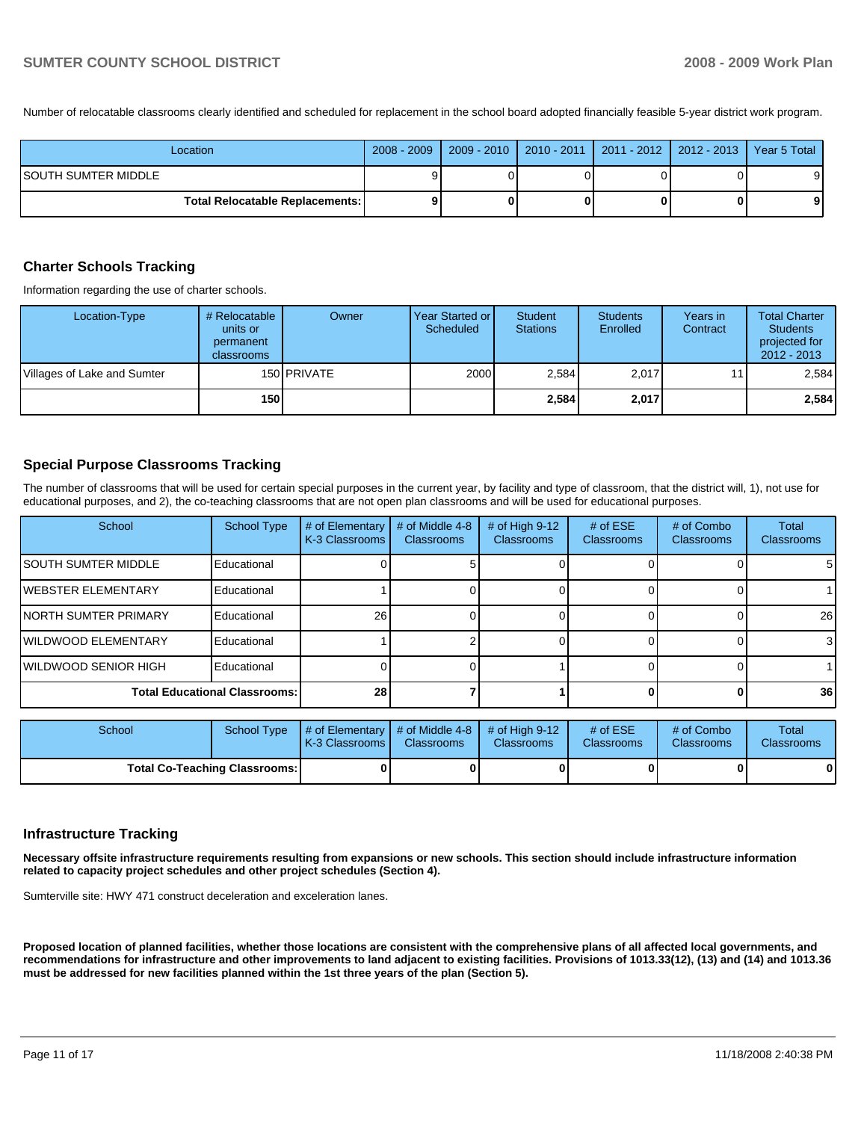Number of relocatable classrooms clearly identified and scheduled for replacement in the school board adopted financially feasible 5-year district work program.

| Location                                 |   | 2008 - 2009   2009 - 2010   2010 - 2011   2011 - 2012   2012 - 2013   Year 5 Total |  |    |
|------------------------------------------|---|------------------------------------------------------------------------------------|--|----|
| ISOUTH SUMTER MIDDLE                     | 9 |                                                                                    |  | 9١ |
| <b>Total Relocatable Replacements: I</b> | ο |                                                                                    |  | 91 |

### **Charter Schools Tracking**

Information regarding the use of charter schools.

| Location-Type               | # Relocatable<br>units or<br>permanent<br>classrooms | Owner              | Year Started or I<br>Scheduled | Student<br><b>Stations</b> | <b>Students</b><br>Enrolled | Years in<br>Contract | <b>Total Charter</b><br><b>Students</b><br>projected for<br>$2012 - 2013$ |
|-----------------------------|------------------------------------------------------|--------------------|--------------------------------|----------------------------|-----------------------------|----------------------|---------------------------------------------------------------------------|
| Villages of Lake and Sumter |                                                      | 150 <b>PRIVATE</b> | 2000                           | 2.584                      | 2,017                       |                      | 2.584                                                                     |
|                             | 150                                                  |                    |                                | 2,584                      | 2,017                       |                      | 2,584                                                                     |

### **Special Purpose Classrooms Tracking**

The number of classrooms that will be used for certain special purposes in the current year, by facility and type of classroom, that the district will, 1), not use for educational purposes, and 2), the co-teaching classrooms that are not open plan classrooms and will be used for educational purposes.

| School                               | <b>School Type</b> | # of Elementary<br>K-3 Classrooms | # of Middle 4-8<br><b>Classrooms</b> | # of High 9-12<br><b>Classrooms</b> | # of $ESE$<br><b>Classrooms</b> | # of Combo<br><b>Classrooms</b> | Total<br><b>Classrooms</b> |
|--------------------------------------|--------------------|-----------------------------------|--------------------------------------|-------------------------------------|---------------------------------|---------------------------------|----------------------------|
| <b>ISOUTH SUMTER MIDDLE</b>          | Educational        |                                   |                                      |                                     |                                 |                                 | 51                         |
| <b>IWEBSTER ELEMENTARY</b>           | Educational        |                                   |                                      |                                     |                                 |                                 |                            |
| <b>INORTH SUMTER PRIMARY</b>         | Educational        | 26                                |                                      |                                     |                                 |                                 | 26                         |
| <b>IWILDWOOD ELEMENTARY</b>          | Educational        |                                   |                                      |                                     |                                 |                                 | $\mathbf{3}$               |
| <b>IWILDWOOD SENIOR HIGH</b>         | Educational        |                                   |                                      |                                     |                                 |                                 |                            |
| <b>Total Educational Classrooms:</b> |                    | 28                                |                                      |                                     |                                 |                                 | 36                         |

| School                               | School Type | $\parallel$ # of Elementary $\parallel$ # of Middle 4-8 $\parallel$ # of High 9-12<br><b>IK-3 Classrooms I</b> | <b>Classrooms</b> | <b>Classrooms</b> | # of $ESE$<br><b>Classrooms</b> | # of Combo<br><b>Classrooms</b> | Total<br><b>Classrooms</b> |
|--------------------------------------|-------------|----------------------------------------------------------------------------------------------------------------|-------------------|-------------------|---------------------------------|---------------------------------|----------------------------|
| <b>Total Co-Teaching Classrooms:</b> |             |                                                                                                                | 0                 |                   |                                 |                                 | 0                          |

### **Infrastructure Tracking**

**Necessary offsite infrastructure requirements resulting from expansions or new schools. This section should include infrastructure information related to capacity project schedules and other project schedules (Section 4).** 

Sumterville site: HWY 471 construct deceleration and exceleration lanes.

**Proposed location of planned facilities, whether those locations are consistent with the comprehensive plans of all affected local governments, and recommendations for infrastructure and other improvements to land adjacent to existing facilities. Provisions of 1013.33(12), (13) and (14) and 1013.36 must be addressed for new facilities planned within the 1st three years of the plan (Section 5).**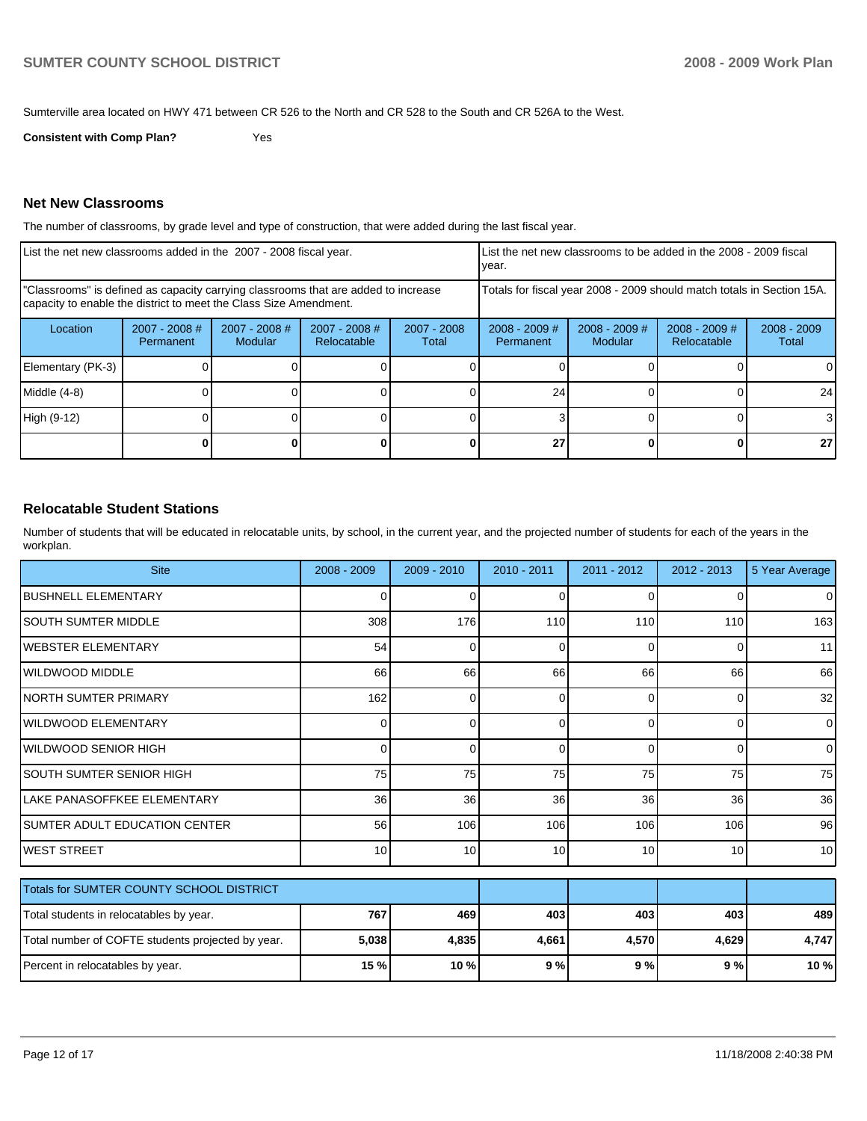Sumterville area located on HWY 471 between CR 526 to the North and CR 528 to the South and CR 526A to the West.

**Consistent with Comp Plan?** Yes

### **Net New Classrooms**

The number of classrooms, by grade level and type of construction, that were added during the last fiscal year.

| List the net new classrooms added in the 2007 - 2008 fiscal year.                                                                                       |                              |                          |                                                        | List the net new classrooms to be added in the 2008 - 2009 fiscal<br>year. |                                     |                            |                                       |                        |
|---------------------------------------------------------------------------------------------------------------------------------------------------------|------------------------------|--------------------------|--------------------------------------------------------|----------------------------------------------------------------------------|-------------------------------------|----------------------------|---------------------------------------|------------------------|
| "Classrooms" is defined as capacity carrying classrooms that are added to increase<br>capacity to enable the district to meet the Class Size Amendment. |                              |                          |                                                        | Totals for fiscal year 2008 - 2009 should match totals in Section 15A.     |                                     |                            |                                       |                        |
| Location                                                                                                                                                | $2007 - 2008$ #<br>Permanent | 2007 - 2008 #<br>Modular | $2007 - 2008$ #<br>2007 - 2008<br>Relocatable<br>Total |                                                                            | $2008 - 2009$ #<br><b>Permanent</b> | $2008 - 2009$ #<br>Modular | $2008 - 2009$ #<br><b>Relocatable</b> | $2008 - 2009$<br>Total |
| Elementary (PK-3)                                                                                                                                       |                              |                          |                                                        |                                                                            |                                     |                            |                                       |                        |
| Middle (4-8)                                                                                                                                            |                              |                          |                                                        |                                                                            | 24                                  |                            |                                       | 24                     |
| High (9-12)                                                                                                                                             |                              |                          |                                                        |                                                                            |                                     |                            |                                       | 3                      |
|                                                                                                                                                         |                              |                          |                                                        |                                                                            | 27                                  |                            |                                       | 27 <sub>l</sub>        |

### **Relocatable Student Stations**

Number of students that will be educated in relocatable units, by school, in the current year, and the projected number of students for each of the years in the workplan.

| <b>Site</b>                                       | $2008 - 2009$ | $2009 - 2010$ | 2010 - 2011 | 2011 - 2012 | $2012 - 2013$   | 5 Year Average |
|---------------------------------------------------|---------------|---------------|-------------|-------------|-----------------|----------------|
| <b>BUSHNELL ELEMENTARY</b>                        | 0             | 0             | $\Omega$    | 0           | $\Omega$        | $\overline{0}$ |
| ISOUTH SUMTER MIDDLE                              | 308           | 176           | 110         | 110         | 110             | 163            |
| <b>IWEBSTER ELEMENTARY</b>                        | 54            | 0             | $\Omega$    | 0           | $\Omega$        | 11             |
| <b>IWILDWOOD MIDDLE</b>                           | 66            | 66            | 66          | 66          | 66              | 66             |
| INORTH SUMTER PRIMARY                             | 162           | 0             | $\Omega$    | 0           | 0               | 32             |
| <b>IWILDWOOD ELEMENTARY</b>                       | 0             | 0             | 0           | 0           | $\overline{0}$  | $\overline{0}$ |
| IWILDWOOD SENIOR HIGH                             | 0             | $\Omega$      | $\Omega$    | 0           | $\overline{0}$  | $\overline{0}$ |
| <b>SOUTH SUMTER SENIOR HIGH</b>                   | 75            | 75            | 75          | 75          | 75              | 75             |
| LAKE PANASOFFKEE ELEMENTARY                       | 36            | 36            | 36          | 36          | 36 <sup>1</sup> | 36             |
| SUMTER ADULT EDUCATION CENTER                     | 56            | 106           | 106         | 106         | 106             | 96             |
| <b>WEST STREET</b>                                | 10            | 10            | 10          | 10          | 10 <sup>1</sup> | 10             |
| Totals for SUMTER COUNTY SCHOOL DISTRICT          |               |               |             |             |                 |                |
| Total students in relocatables by year.           | 767           | 469           | 403         | 403         | 403             | 489            |
| Total number of COFTE students projected by year. | 5,038         | 4,835         | 4,661       | 4,570       | 4,629           | 4,747          |
| Percent in relocatables by year.                  | 15 %          | 10 %          | 9%          | 9%          | 9%              | 10 %           |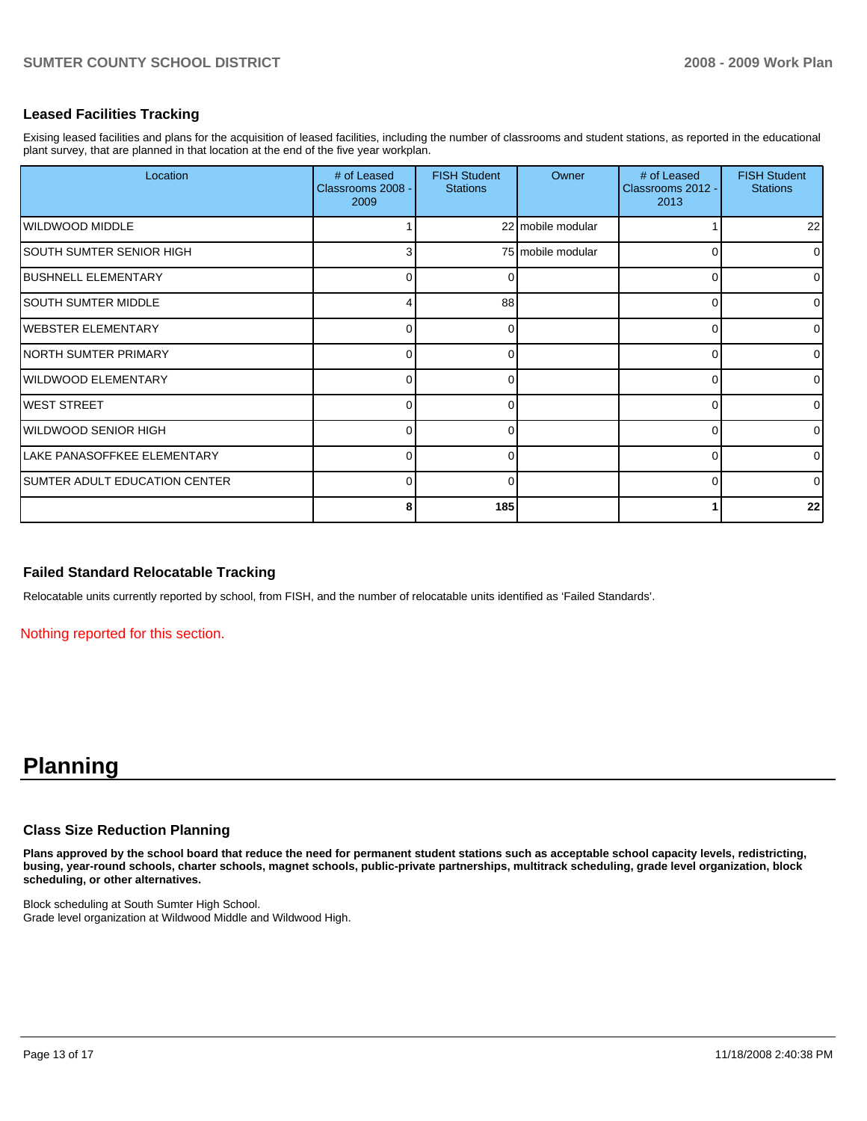# **Leased Facilities Tracking**

Exising leased facilities and plans for the acquisition of leased facilities, including the number of classrooms and student stations, as reported in the educational plant survey, that are planned in that location at the end of the five year workplan.

| Location                             | # of Leased<br>Classrooms 2008 -<br>2009 | <b>FISH Student</b><br><b>Stations</b> | Owner             | # of Leased<br>Classrooms 2012 -<br>2013 | <b>FISH Student</b><br><b>Stations</b> |
|--------------------------------------|------------------------------------------|----------------------------------------|-------------------|------------------------------------------|----------------------------------------|
| WILDWOOD MIDDLE                      |                                          |                                        | 22 mobile modular |                                          | 22                                     |
| SOUTH SUMTER SENIOR HIGH             | 3                                        |                                        | 75 mobile modular | C                                        | $\overline{0}$                         |
| <b>BUSHNELL ELEMENTARY</b>           | 0                                        | 0                                      |                   | C                                        | $\overline{0}$                         |
| <b>SOUTH SUMTER MIDDLE</b>           | Δ                                        | 88                                     |                   | ∩                                        | $\Omega$                               |
| IWEBSTER ELEMENTARY                  | 0                                        | $\Omega$                               |                   | ∩                                        | $\overline{0}$                         |
| <b>NORTH SUMTER PRIMARY</b>          | 0                                        | O                                      |                   | $\Omega$                                 | $\Omega$                               |
| <b>WILDWOOD ELEMENTARY</b>           | $\Omega$                                 | $\Omega$                               |                   | $\Omega$                                 | $\Omega$                               |
| <b>WEST STREET</b>                   | 0                                        | $\Omega$                               |                   | O                                        | $\overline{0}$                         |
| WILDWOOD SENIOR HIGH                 | 0                                        | $\Omega$                               |                   | O                                        | $\Omega$                               |
| LAKE PANASOFFKEE ELEMENTARY          | $\Omega$                                 | $\Omega$                               |                   | $\Omega$                                 | $\Omega$                               |
| <b>SUMTER ADULT EDUCATION CENTER</b> | $\Omega$                                 | $\Omega$                               |                   | $\Omega$                                 | $\Omega$                               |
|                                      | 8                                        | 185                                    |                   |                                          | 22                                     |

### **Failed Standard Relocatable Tracking**

Relocatable units currently reported by school, from FISH, and the number of relocatable units identified as 'Failed Standards'.

Nothing reported for this section.

# **Planning**

### **Class Size Reduction Planning**

**Plans approved by the school board that reduce the need for permanent student stations such as acceptable school capacity levels, redistricting, busing, year-round schools, charter schools, magnet schools, public-private partnerships, multitrack scheduling, grade level organization, block scheduling, or other alternatives.** 

Block scheduling at South Sumter High School. Grade level organization at Wildwood Middle and Wildwood High.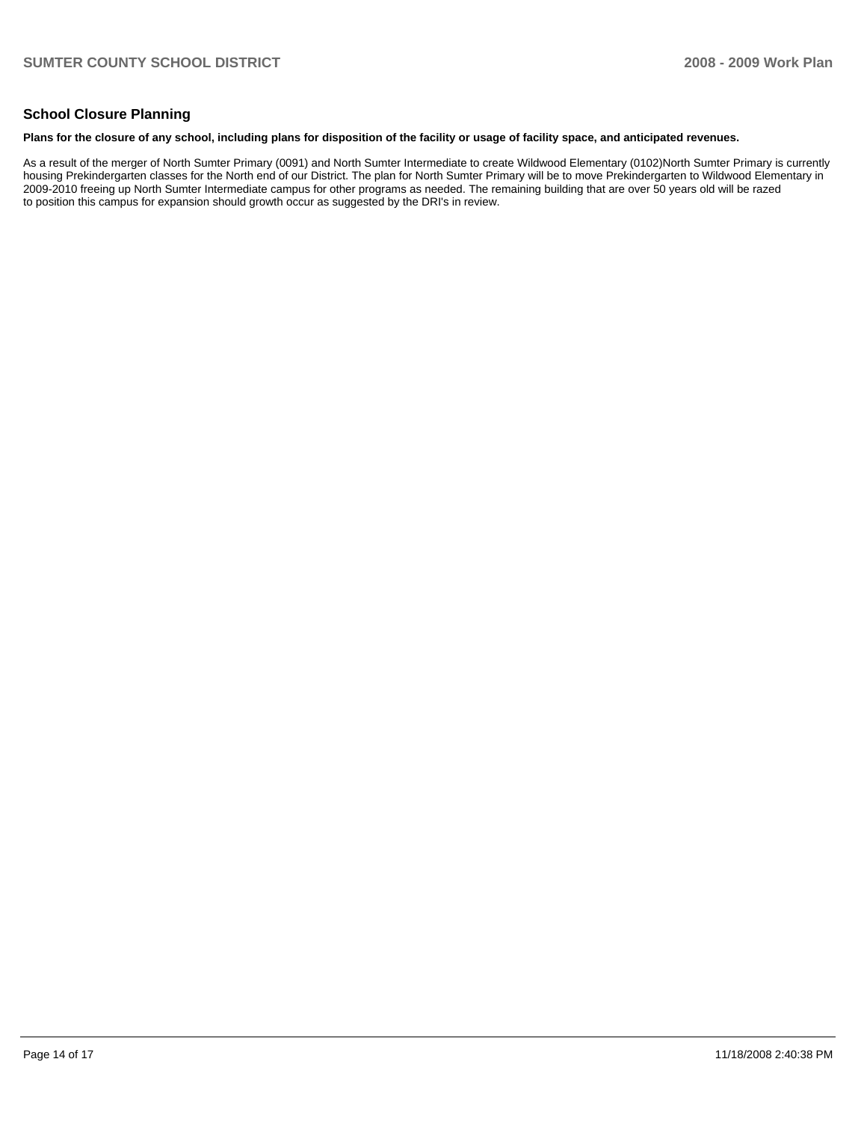## **School Closure Planning**

#### **Plans for the closure of any school, including plans for disposition of the facility or usage of facility space, and anticipated revenues.**

As a result of the merger of North Sumter Primary (0091) and North Sumter Intermediate to create Wildwood Elementary (0102)North Sumter Primary is currently housing Prekindergarten classes for the North end of our District. The plan for North Sumter Primary will be to move Prekindergarten to Wildwood Elementary in 2009-2010 freeing up North Sumter Intermediate campus for other programs as needed. The remaining building that are over 50 years old will be razed to position this campus for expansion should growth occur as suggested by the DRI's in review.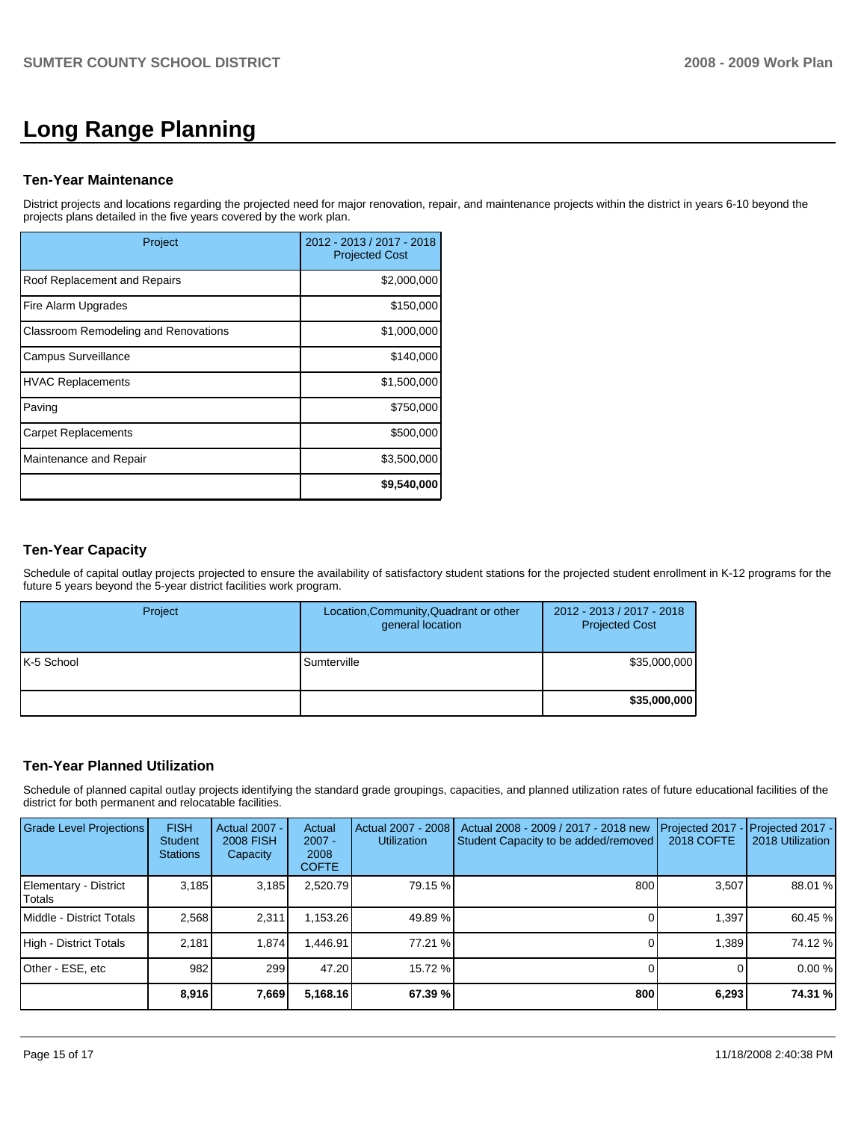# **Long Range Planning**

### **Ten-Year Maintenance**

District projects and locations regarding the projected need for major renovation, repair, and maintenance projects within the district in years 6-10 beyond the projects plans detailed in the five years covered by the work plan.

| Project                              | 2012 - 2013 / 2017 - 2018<br><b>Projected Cost</b> |
|--------------------------------------|----------------------------------------------------|
| Roof Replacement and Repairs         | \$2,000,000                                        |
| Fire Alarm Upgrades                  | \$150,000                                          |
| Classroom Remodeling and Renovations | \$1,000,000                                        |
| <b>Campus Surveillance</b>           | \$140,000                                          |
| <b>HVAC Replacements</b>             | \$1,500,000                                        |
| Paving                               | \$750,000                                          |
| <b>Carpet Replacements</b>           | \$500,000                                          |
| Maintenance and Repair               | \$3,500,000                                        |
|                                      | \$9,540,000                                        |

### **Ten-Year Capacity**

Schedule of capital outlay projects projected to ensure the availability of satisfactory student stations for the projected student enrollment in K-12 programs for the future 5 years beyond the 5-year district facilities work program.

| Project    | Location, Community, Quadrant or other<br>general location | 2012 - 2013 / 2017 - 2018<br><b>Projected Cost</b> |
|------------|------------------------------------------------------------|----------------------------------------------------|
| K-5 School | Sumterville                                                | \$35,000,000                                       |
|            |                                                            | \$35,000,000                                       |

# **Ten-Year Planned Utilization**

Schedule of planned capital outlay projects identifying the standard grade groupings, capacities, and planned utilization rates of future educational facilities of the district for both permanent and relocatable facilities.

| Grade Level Projections         | <b>FISH</b><br><b>Student</b><br><b>Stations</b> | Actual 2007 -<br><b>2008 FISH</b><br>Capacity | Actual<br>$2007 -$<br>2008<br><b>COFTE</b> | Actual 2007 - 2008<br><b>Utilization</b> | Actual 2008 - 2009 / 2017 - 2018 new<br>Student Capacity to be added/removed | Projected 2017<br>2018 COFTE | $-$ Projected 2017 -<br>2018 Utilization I |
|---------------------------------|--------------------------------------------------|-----------------------------------------------|--------------------------------------------|------------------------------------------|------------------------------------------------------------------------------|------------------------------|--------------------------------------------|
| Elementary - District<br>Totals | 3,185                                            | 3,185                                         | 2,520.79                                   | 79.15 %                                  | 800                                                                          | 3,507                        | 88.01 %                                    |
| Middle - District Totals        | 2.568                                            | 2.311                                         | 1.153.26                                   | 49.89 %                                  |                                                                              | 1.397                        | 60.45 %                                    |
| High - District Totals          | 2.181                                            | 1.874                                         | .446.91                                    | 77.21 %                                  |                                                                              | 1.389                        | 74.12 %                                    |
| Other - ESE, etc                | 982                                              | 299                                           | 47.20                                      | 15.72 %                                  |                                                                              |                              | 0.00%                                      |
|                                 | 8,916                                            | 7,669                                         | 5,168.16                                   | 67.39 %                                  | 800                                                                          | 6,293                        | 74.31 %                                    |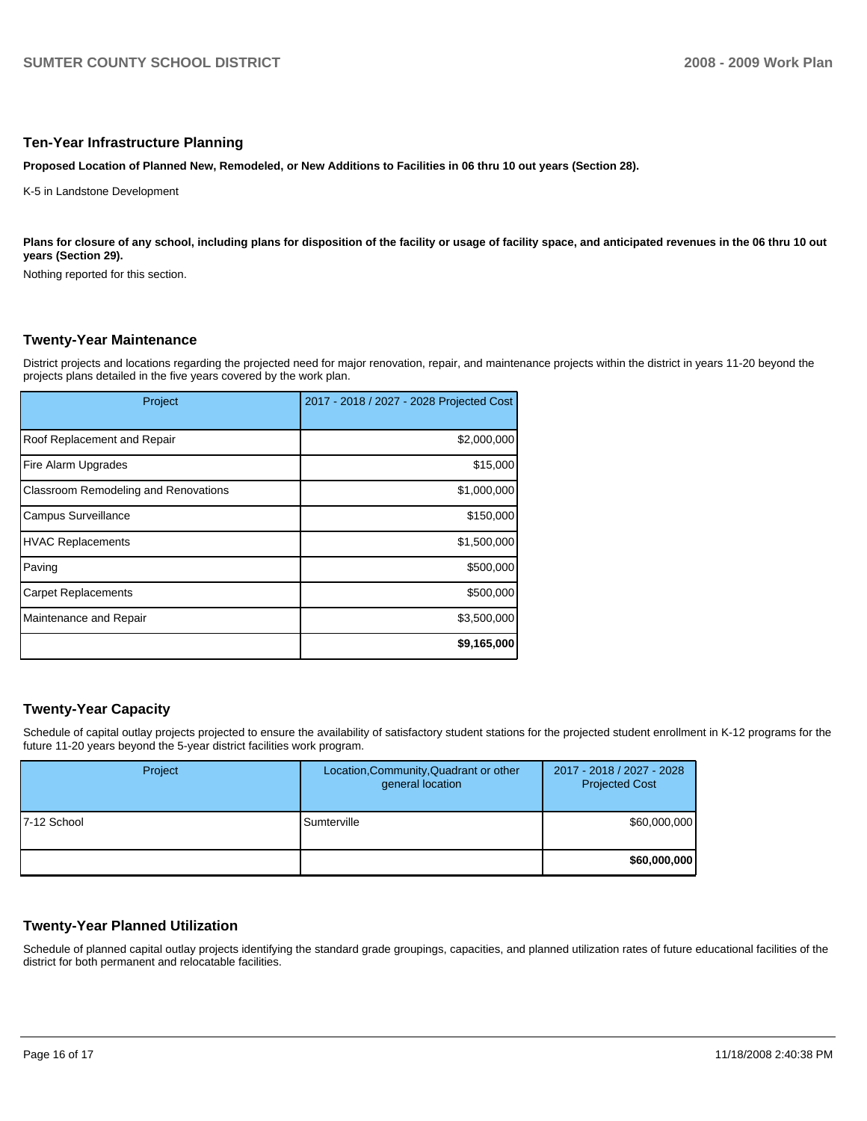#### **Ten-Year Infrastructure Planning**

**Proposed Location of Planned New, Remodeled, or New Additions to Facilities in 06 thru 10 out years (Section 28).** 

K-5 in Landstone Development

Plans for closure of any school, including plans for disposition of the facility or usage of facility space, and anticipated revenues in the 06 thru 10 out **years (Section 29).** 

Nothing reported for this section.

### **Twenty-Year Maintenance**

District projects and locations regarding the projected need for major renovation, repair, and maintenance projects within the district in years 11-20 beyond the projects plans detailed in the five years covered by the work plan.

| Project                              | 2017 - 2018 / 2027 - 2028 Projected Cost |
|--------------------------------------|------------------------------------------|
| Roof Replacement and Repair          | \$2,000,000                              |
| Fire Alarm Upgrades                  | \$15,000                                 |
| Classroom Remodeling and Renovations | \$1,000,000                              |
| <b>Campus Surveillance</b>           | \$150,000                                |
| <b>HVAC Replacements</b>             | \$1,500,000                              |
| Paving                               | \$500,000                                |
| <b>Carpet Replacements</b>           | \$500,000                                |
| Maintenance and Repair               | \$3,500,000                              |
|                                      | \$9,165,000                              |

# **Twenty-Year Capacity**

Schedule of capital outlay projects projected to ensure the availability of satisfactory student stations for the projected student enrollment in K-12 programs for the future 11-20 years beyond the 5-year district facilities work program.

| Project      | Location, Community, Quadrant or other<br>general location | 2017 - 2018 / 2027 - 2028<br><b>Projected Cost</b> |
|--------------|------------------------------------------------------------|----------------------------------------------------|
| 17-12 School | Sumterville                                                | \$60,000,000                                       |
|              |                                                            | \$60,000,000                                       |

### **Twenty-Year Planned Utilization**

Schedule of planned capital outlay projects identifying the standard grade groupings, capacities, and planned utilization rates of future educational facilities of the district for both permanent and relocatable facilities.